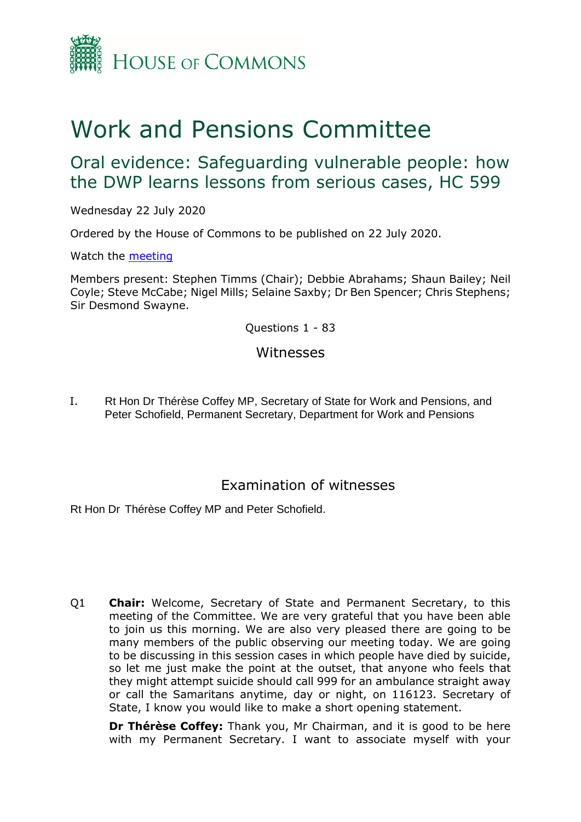

# Work and Pensions Committee

# Oral evidence: Safeguarding vulnerable people: how the DWP learns lessons from serious cases, HC 599

Wednesday 22 July 2020

Ordered by the House of Commons to be published on 22 July 2020.

Watch the [meeting](https://parliamentlive.tv/Event/Index/2d0d9a4b-4da3-449d-9f03-245c56f8e727)

Members present: Stephen Timms (Chair); Debbie Abrahams; Shaun Bailey; Neil Coyle; Steve McCabe; Nigel Mills; Selaine Saxby; Dr Ben Spencer; Chris Stephens; Sir Desmond Swayne.

Questions 1 - 83

### Witnesses

I. Rt Hon Dr Thérèse Coffey MP, Secretary of State for Work and Pensions, and Peter Schofield, Permanent Secretary, Department for Work and Pensions

## Examination of witnesses

Rt Hon Dr Thérèse Coffey MP and Peter Schofield.

Q1 **Chair:** Welcome, Secretary of State and Permanent Secretary, to this meeting of the Committee. We are very grateful that you have been able to join us this morning. We are also very pleased there are going to be many members of the public observing our meeting today. We are going to be discussing in this session cases in which people have died by suicide, so let me just make the point at the outset, that anyone who feels that they might attempt suicide should call 999 for an ambulance straight away or call the Samaritans anytime, day or night, on 116123. Secretary of State, I know you would like to make a short opening statement.

**Dr Thérèse Coffey:** Thank you, Mr Chairman, and it is good to be here with my Permanent Secretary. I want to associate myself with your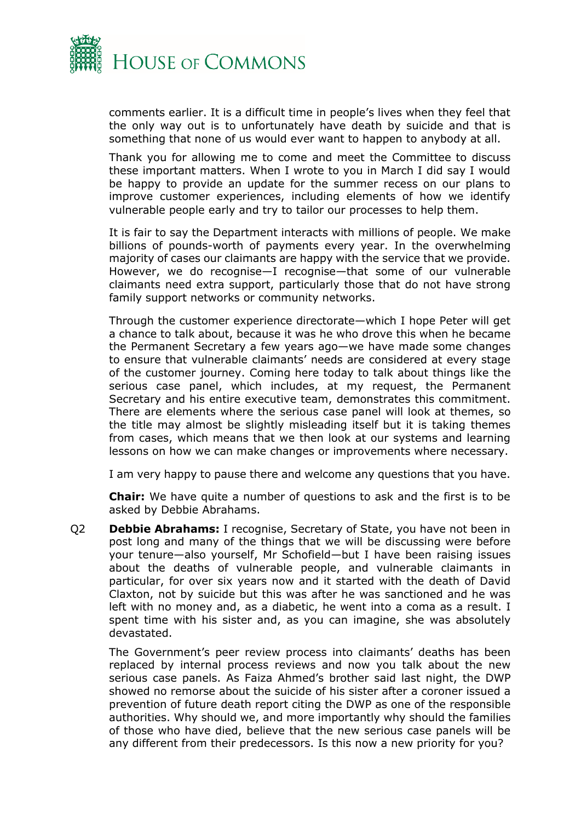

comments earlier. It is a difficult time in people's lives when they feel that the only way out is to unfortunately have death by suicide and that is something that none of us would ever want to happen to anybody at all.

Thank you for allowing me to come and meet the Committee to discuss these important matters. When I wrote to you in March I did say I would be happy to provide an update for the summer recess on our plans to improve customer experiences, including elements of how we identify vulnerable people early and try to tailor our processes to help them.

It is fair to say the Department interacts with millions of people. We make billions of pounds-worth of payments every year. In the overwhelming majority of cases our claimants are happy with the service that we provide. However, we do recognise—I recognise—that some of our vulnerable claimants need extra support, particularly those that do not have strong family support networks or community networks.

Through the customer experience directorate—which I hope Peter will get a chance to talk about, because it was he who drove this when he became the Permanent Secretary a few years ago—we have made some changes to ensure that vulnerable claimants' needs are considered at every stage of the customer journey. Coming here today to talk about things like the serious case panel, which includes, at my request, the Permanent Secretary and his entire executive team, demonstrates this commitment. There are elements where the serious case panel will look at themes, so the title may almost be slightly misleading itself but it is taking themes from cases, which means that we then look at our systems and learning lessons on how we can make changes or improvements where necessary.

I am very happy to pause there and welcome any questions that you have.

**Chair:** We have quite a number of questions to ask and the first is to be asked by Debbie Abrahams.

Q2 **Debbie Abrahams:** I recognise, Secretary of State, you have not been in post long and many of the things that we will be discussing were before your tenure—also yourself, Mr Schofield—but I have been raising issues about the deaths of vulnerable people, and vulnerable claimants in particular, for over six years now and it started with the death of David Claxton, not by suicide but this was after he was sanctioned and he was left with no money and, as a diabetic, he went into a coma as a result. I spent time with his sister and, as you can imagine, she was absolutely devastated.

The Government's peer review process into claimants' deaths has been replaced by internal process reviews and now you talk about the new serious case panels. As Faiza Ahmed's brother said last night, the DWP showed no remorse about the suicide of his sister after a coroner issued a prevention of future death report citing the DWP as one of the responsible authorities. Why should we, and more importantly why should the families of those who have died, believe that the new serious case panels will be any different from their predecessors. Is this now a new priority for you?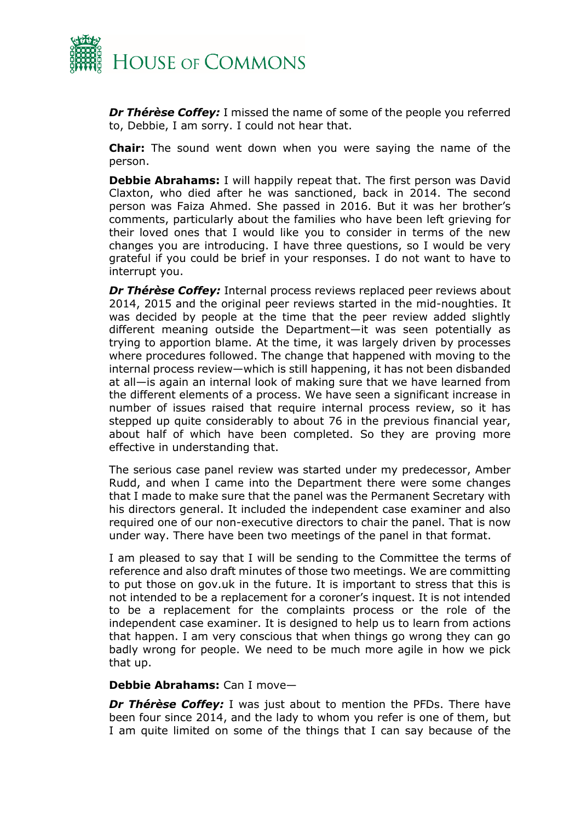

*Dr Thérèse Coffey:* I missed the name of some of the people you referred to, Debbie, I am sorry. I could not hear that.

**Chair:** The sound went down when you were saying the name of the person.

**Debbie Abrahams:** I will happily repeat that. The first person was David Claxton, who died after he was sanctioned, back in 2014. The second person was Faiza Ahmed. She passed in 2016. But it was her brother's comments, particularly about the families who have been left grieving for their loved ones that I would like you to consider in terms of the new changes you are introducing. I have three questions, so I would be very grateful if you could be brief in your responses. I do not want to have to interrupt you.

*Dr Thérèse Coffey:* Internal process reviews replaced peer reviews about 2014, 2015 and the original peer reviews started in the mid-noughties. It was decided by people at the time that the peer review added slightly different meaning outside the Department—it was seen potentially as trying to apportion blame. At the time, it was largely driven by processes where procedures followed. The change that happened with moving to the internal process review—which is still happening, it has not been disbanded at all—is again an internal look of making sure that we have learned from the different elements of a process. We have seen a significant increase in number of issues raised that require internal process review, so it has stepped up quite considerably to about 76 in the previous financial year, about half of which have been completed. So they are proving more effective in understanding that.

The serious case panel review was started under my predecessor, Amber Rudd, and when I came into the Department there were some changes that I made to make sure that the panel was the Permanent Secretary with his directors general. It included the independent case examiner and also required one of our non-executive directors to chair the panel. That is now under way. There have been two meetings of the panel in that format.

I am pleased to say that I will be sending to the Committee the terms of reference and also draft minutes of those two meetings. We are committing to put those on gov.uk in the future. It is important to stress that this is not intended to be a replacement for a coroner's inquest. It is not intended to be a replacement for the complaints process or the role of the independent case examiner. It is designed to help us to learn from actions that happen. I am very conscious that when things go wrong they can go badly wrong for people. We need to be much more agile in how we pick that up.

#### **Debbie Abrahams:** Can I move—

**Dr Thérèse Coffey:** I was just about to mention the PFDs. There have been four since 2014, and the lady to whom you refer is one of them, but I am quite limited on some of the things that I can say because of the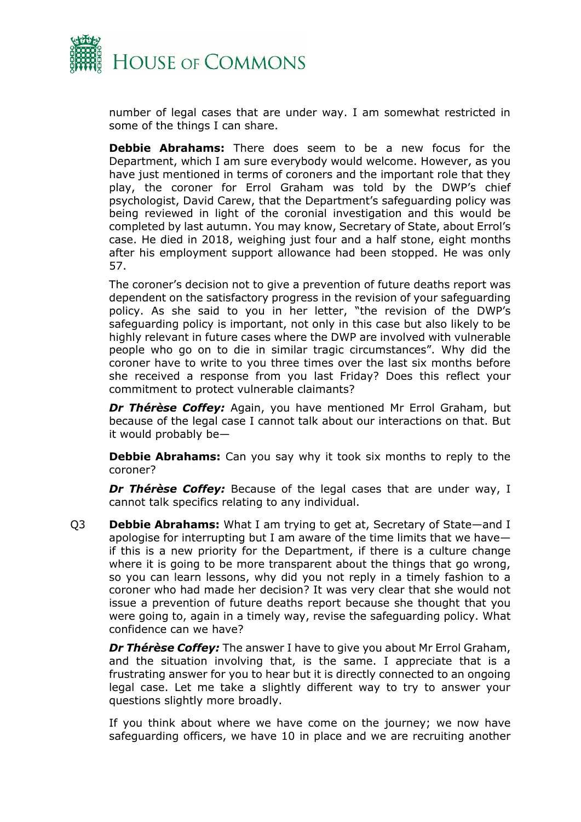

number of legal cases that are under way. I am somewhat restricted in some of the things I can share.

**Debbie Abrahams:** There does seem to be a new focus for the Department, which I am sure everybody would welcome. However, as you have just mentioned in terms of coroners and the important role that they play, the coroner for Errol Graham was told by the DWP's chief psychologist, David Carew, that the Department's safeguarding policy was being reviewed in light of the coronial investigation and this would be completed by last autumn. You may know, Secretary of State, about Errol's case. He died in 2018, weighing just four and a half stone, eight months after his employment support allowance had been stopped. He was only 57.

The coroner's decision not to give a prevention of future deaths report was dependent on the satisfactory progress in the revision of your safeguarding policy. As she said to you in her letter, "the revision of the DWP's safeguarding policy is important, not only in this case but also likely to be highly relevant in future cases where the DWP are involved with vulnerable people who go on to die in similar tragic circumstances". Why did the coroner have to write to you three times over the last six months before she received a response from you last Friday? Does this reflect your commitment to protect vulnerable claimants?

*Dr Thérèse Coffey:* Again, you have mentioned Mr Errol Graham, but because of the legal case I cannot talk about our interactions on that. But it would probably be—

**Debbie Abrahams:** Can you say why it took six months to reply to the coroner?

*Dr Thérèse Coffey:* Because of the legal cases that are under way, I cannot talk specifics relating to any individual.

Q3 **Debbie Abrahams:** What I am trying to get at, Secretary of State—and I apologise for interrupting but I am aware of the time limits that we have if this is a new priority for the Department, if there is a culture change where it is going to be more transparent about the things that go wrong, so you can learn lessons, why did you not reply in a timely fashion to a coroner who had made her decision? It was very clear that she would not issue a prevention of future deaths report because she thought that you were going to, again in a timely way, revise the safeguarding policy. What confidence can we have?

*Dr Thérèse Coffey:* The answer I have to give you about Mr Errol Graham, and the situation involving that, is the same. I appreciate that is a frustrating answer for you to hear but it is directly connected to an ongoing legal case. Let me take a slightly different way to try to answer your questions slightly more broadly.

If you think about where we have come on the journey; we now have safeguarding officers, we have 10 in place and we are recruiting another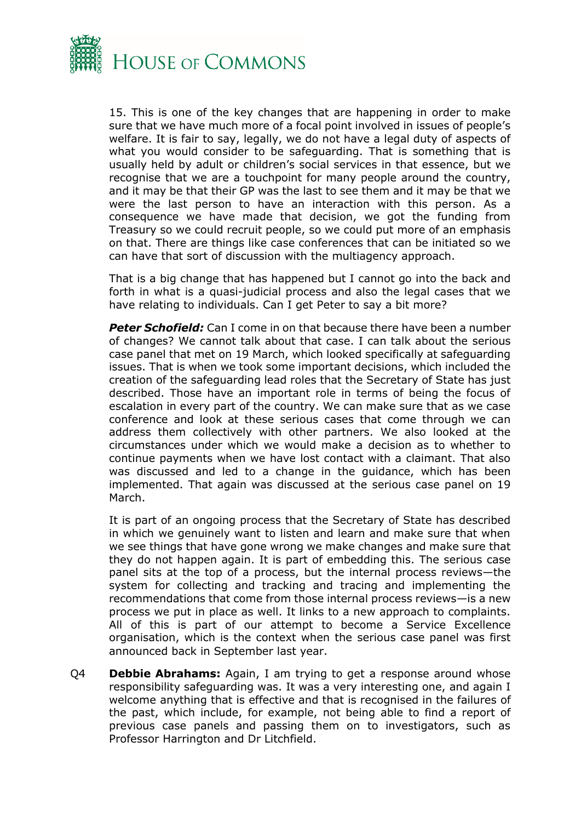

15. This is one of the key changes that are happening in order to make sure that we have much more of a focal point involved in issues of people's welfare. It is fair to say, legally, we do not have a legal duty of aspects of what you would consider to be safeguarding. That is something that is usually held by adult or children's social services in that essence, but we recognise that we are a touchpoint for many people around the country, and it may be that their GP was the last to see them and it may be that we were the last person to have an interaction with this person. As a consequence we have made that decision, we got the funding from Treasury so we could recruit people, so we could put more of an emphasis on that. There are things like case conferences that can be initiated so we can have that sort of discussion with the multiagency approach.

That is a big change that has happened but I cannot go into the back and forth in what is a quasi-judicial process and also the legal cases that we have relating to individuals. Can I get Peter to say a bit more?

*Peter Schofield:* Can I come in on that because there have been a number of changes? We cannot talk about that case. I can talk about the serious case panel that met on 19 March, which looked specifically at safeguarding issues. That is when we took some important decisions, which included the creation of the safeguarding lead roles that the Secretary of State has just described. Those have an important role in terms of being the focus of escalation in every part of the country. We can make sure that as we case conference and look at these serious cases that come through we can address them collectively with other partners. We also looked at the circumstances under which we would make a decision as to whether to continue payments when we have lost contact with a claimant. That also was discussed and led to a change in the guidance, which has been implemented. That again was discussed at the serious case panel on 19 March.

It is part of an ongoing process that the Secretary of State has described in which we genuinely want to listen and learn and make sure that when we see things that have gone wrong we make changes and make sure that they do not happen again. It is part of embedding this. The serious case panel sits at the top of a process, but the internal process reviews—the system for collecting and tracking and tracing and implementing the recommendations that come from those internal process reviews—is a new process we put in place as well. It links to a new approach to complaints. All of this is part of our attempt to become a Service Excellence organisation, which is the context when the serious case panel was first announced back in September last year.

Q4 **Debbie Abrahams:** Again, I am trying to get a response around whose responsibility safeguarding was. It was a very interesting one, and again I welcome anything that is effective and that is recognised in the failures of the past, which include, for example, not being able to find a report of previous case panels and passing them on to investigators, such as Professor Harrington and Dr Litchfield.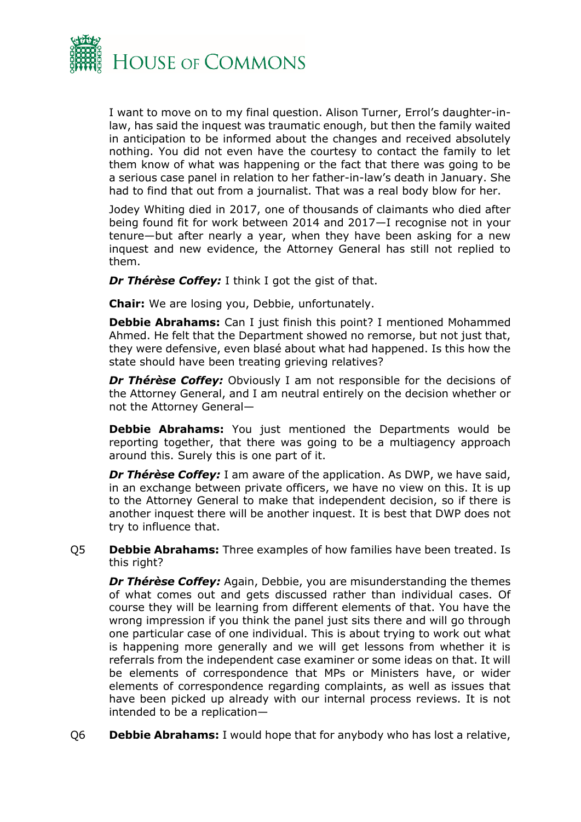

I want to move on to my final question. Alison Turner, Errol's daughter-inlaw, has said the inquest was traumatic enough, but then the family waited in anticipation to be informed about the changes and received absolutely nothing. You did not even have the courtesy to contact the family to let them know of what was happening or the fact that there was going to be a serious case panel in relation to her father-in-law's death in January. She had to find that out from a journalist. That was a real body blow for her.

Jodey Whiting died in 2017, one of thousands of claimants who died after being found fit for work between 2014 and 2017—I recognise not in your tenure—but after nearly a year, when they have been asking for a new inquest and new evidence, the Attorney General has still not replied to them.

*Dr Thérèse Coffey:* I think I got the gist of that.

**Chair:** We are losing you, Debbie, unfortunately.

**Debbie Abrahams:** Can I just finish this point? I mentioned Mohammed Ahmed. He felt that the Department showed no remorse, but not just that, they were defensive, even blasé about what had happened. Is this how the state should have been treating grieving relatives?

*Dr Thérèse Coffey:* Obviously I am not responsible for the decisions of the Attorney General, and I am neutral entirely on the decision whether or not the Attorney General—

**Debbie Abrahams:** You just mentioned the Departments would be reporting together, that there was going to be a multiagency approach around this. Surely this is one part of it.

*Dr Thérèse Coffey:* I am aware of the application. As DWP, we have said, in an exchange between private officers, we have no view on this. It is up to the Attorney General to make that independent decision, so if there is another inquest there will be another inquest. It is best that DWP does not try to influence that.

Q5 **Debbie Abrahams:** Three examples of how families have been treated. Is this right?

*Dr Thérèse Coffey:* Again, Debbie, you are misunderstanding the themes of what comes out and gets discussed rather than individual cases. Of course they will be learning from different elements of that. You have the wrong impression if you think the panel just sits there and will go through one particular case of one individual. This is about trying to work out what is happening more generally and we will get lessons from whether it is referrals from the independent case examiner or some ideas on that. It will be elements of correspondence that MPs or Ministers have, or wider elements of correspondence regarding complaints, as well as issues that have been picked up already with our internal process reviews. It is not intended to be a replication—

Q6 **Debbie Abrahams:** I would hope that for anybody who has lost a relative,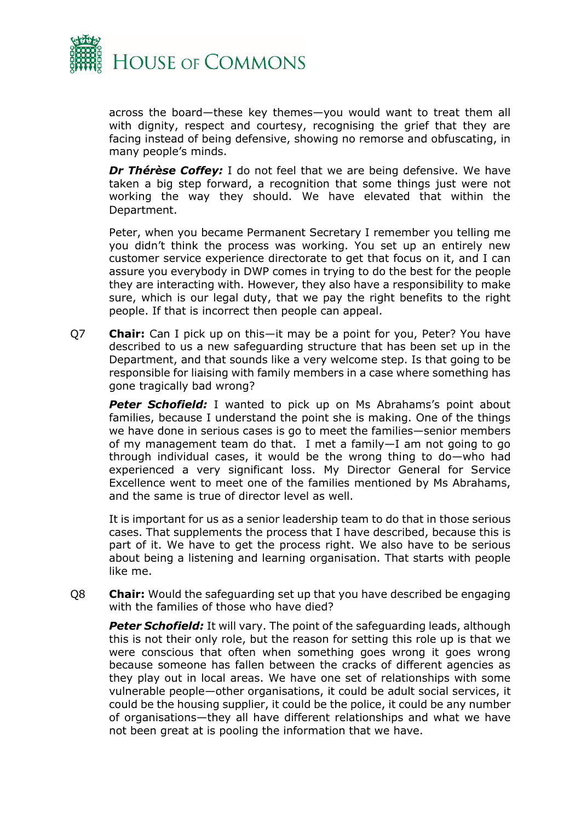

across the board—these key themes—you would want to treat them all with dignity, respect and courtesy, recognising the grief that they are facing instead of being defensive, showing no remorse and obfuscating, in many people's minds.

*Dr Thérèse Coffey:* I do not feel that we are being defensive. We have taken a big step forward, a recognition that some things just were not working the way they should. We have elevated that within the Department.

Peter, when you became Permanent Secretary I remember you telling me you didn't think the process was working. You set up an entirely new customer service experience directorate to get that focus on it, and I can assure you everybody in DWP comes in trying to do the best for the people they are interacting with. However, they also have a responsibility to make sure, which is our legal duty, that we pay the right benefits to the right people. If that is incorrect then people can appeal.

Q7 **Chair:** Can I pick up on this—it may be a point for you, Peter? You have described to us a new safeguarding structure that has been set up in the Department, and that sounds like a very welcome step. Is that going to be responsible for liaising with family members in a case where something has gone tragically bad wrong?

**Peter Schofield:** I wanted to pick up on Ms Abrahams's point about families, because I understand the point she is making. One of the things we have done in serious cases is go to meet the families—senior members of my management team do that. I met a family—I am not going to go through individual cases, it would be the wrong thing to do—who had experienced a very significant loss. My Director General for Service Excellence went to meet one of the families mentioned by Ms Abrahams, and the same is true of director level as well.

It is important for us as a senior leadership team to do that in those serious cases. That supplements the process that I have described, because this is part of it. We have to get the process right. We also have to be serious about being a listening and learning organisation. That starts with people like me.

Q8 **Chair:** Would the safeguarding set up that you have described be engaging with the families of those who have died?

**Peter Schofield:** It will vary. The point of the safeguarding leads, although this is not their only role, but the reason for setting this role up is that we were conscious that often when something goes wrong it goes wrong because someone has fallen between the cracks of different agencies as they play out in local areas. We have one set of relationships with some vulnerable people—other organisations, it could be adult social services, it could be the housing supplier, it could be the police, it could be any number of organisations—they all have different relationships and what we have not been great at is pooling the information that we have.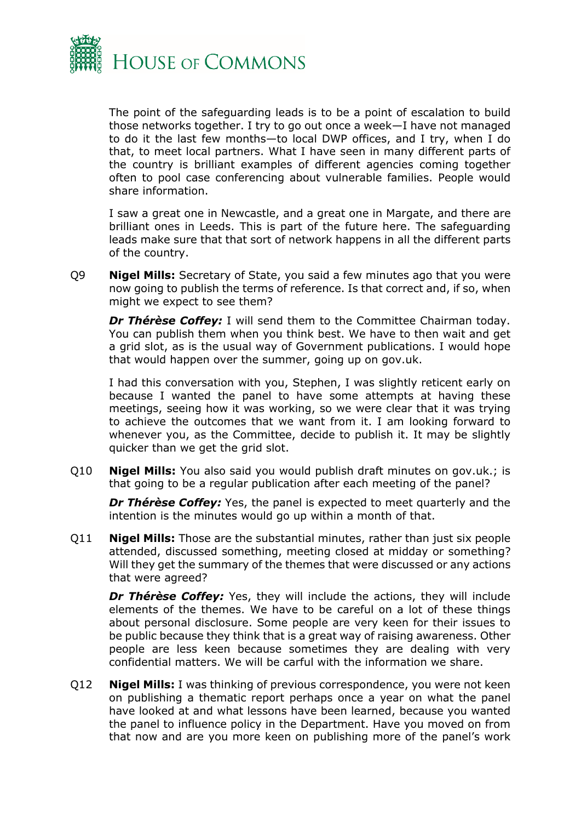

The point of the safeguarding leads is to be a point of escalation to build those networks together. I try to go out once a week—I have not managed to do it the last few months—to local DWP offices, and I try, when I do that, to meet local partners. What I have seen in many different parts of the country is brilliant examples of different agencies coming together often to pool case conferencing about vulnerable families. People would share information.

I saw a great one in Newcastle, and a great one in Margate, and there are brilliant ones in Leeds. This is part of the future here. The safeguarding leads make sure that that sort of network happens in all the different parts of the country.

Q9 **Nigel Mills:** Secretary of State, you said a few minutes ago that you were now going to publish the terms of reference. Is that correct and, if so, when might we expect to see them?

*Dr Thérèse Coffey:* I will send them to the Committee Chairman today. You can publish them when you think best. We have to then wait and get a grid slot, as is the usual way of Government publications. I would hope that would happen over the summer, going up on gov.uk.

I had this conversation with you, Stephen, I was slightly reticent early on because I wanted the panel to have some attempts at having these meetings, seeing how it was working, so we were clear that it was trying to achieve the outcomes that we want from it. I am looking forward to whenever you, as the Committee, decide to publish it. It may be slightly quicker than we get the grid slot.

Q10 **Nigel Mills:** You also said you would publish draft minutes on gov.uk.; is that going to be a regular publication after each meeting of the panel?

*Dr Thérèse Coffey:* Yes, the panel is expected to meet quarterly and the intention is the minutes would go up within a month of that.

Q11 **Nigel Mills:** Those are the substantial minutes, rather than just six people attended, discussed something, meeting closed at midday or something? Will they get the summary of the themes that were discussed or any actions that were agreed?

*Dr Thérèse Coffey:* Yes, they will include the actions, they will include elements of the themes. We have to be careful on a lot of these things about personal disclosure. Some people are very keen for their issues to be public because they think that is a great way of raising awareness. Other people are less keen because sometimes they are dealing with very confidential matters. We will be carful with the information we share.

Q12 **Nigel Mills:** I was thinking of previous correspondence, you were not keen on publishing a thematic report perhaps once a year on what the panel have looked at and what lessons have been learned, because you wanted the panel to influence policy in the Department. Have you moved on from that now and are you more keen on publishing more of the panel's work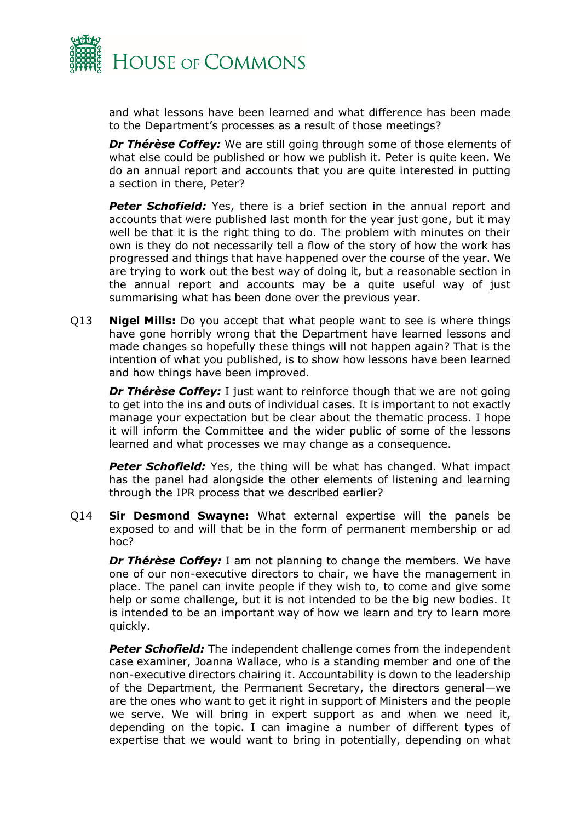

and what lessons have been learned and what difference has been made to the Department's processes as a result of those meetings?

*Dr Thérèse Coffey:* We are still going through some of those elements of what else could be published or how we publish it. Peter is quite keen. We do an annual report and accounts that you are quite interested in putting a section in there, Peter?

**Peter Schofield:** Yes, there is a brief section in the annual report and accounts that were published last month for the year just gone, but it may well be that it is the right thing to do. The problem with minutes on their own is they do not necessarily tell a flow of the story of how the work has progressed and things that have happened over the course of the year. We are trying to work out the best way of doing it, but a reasonable section in the annual report and accounts may be a quite useful way of just summarising what has been done over the previous year.

Q13 **Nigel Mills:** Do you accept that what people want to see is where things have gone horribly wrong that the Department have learned lessons and made changes so hopefully these things will not happen again? That is the intention of what you published, is to show how lessons have been learned and how things have been improved.

*Dr Thérèse Coffey:* I just want to reinforce though that we are not going to get into the ins and outs of individual cases. It is important to not exactly manage your expectation but be clear about the thematic process. I hope it will inform the Committee and the wider public of some of the lessons learned and what processes we may change as a consequence.

**Peter Schofield:** Yes, the thing will be what has changed. What impact has the panel had alongside the other elements of listening and learning through the IPR process that we described earlier?

Q14 **Sir Desmond Swayne:** What external expertise will the panels be exposed to and will that be in the form of permanent membership or ad hoc?

**Dr Thérèse Coffey:** I am not planning to change the members. We have one of our non-executive directors to chair, we have the management in place. The panel can invite people if they wish to, to come and give some help or some challenge, but it is not intended to be the big new bodies. It is intended to be an important way of how we learn and try to learn more quickly.

*Peter Schofield:* The independent challenge comes from the independent case examiner, Joanna Wallace, who is a standing member and one of the non-executive directors chairing it. Accountability is down to the leadership of the Department, the Permanent Secretary, the directors general—we are the ones who want to get it right in support of Ministers and the people we serve. We will bring in expert support as and when we need it, depending on the topic. I can imagine a number of different types of expertise that we would want to bring in potentially, depending on what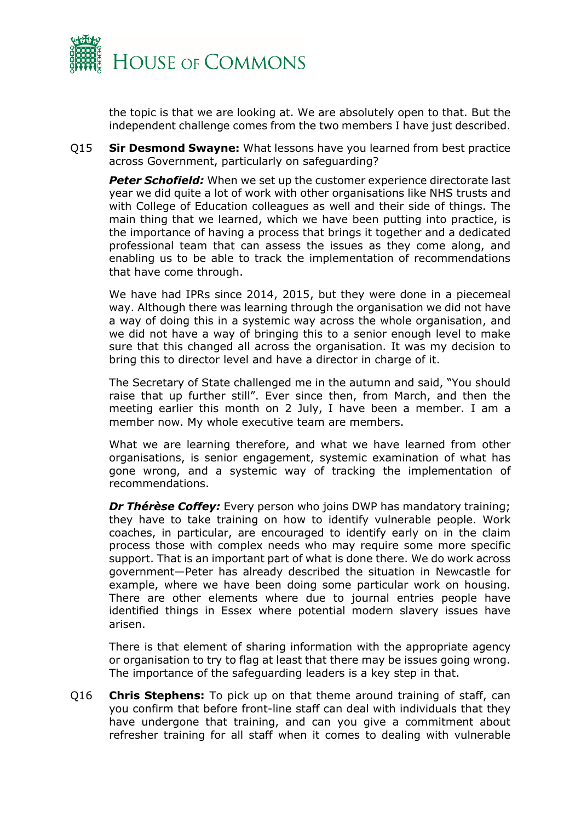

the topic is that we are looking at. We are absolutely open to that. But the independent challenge comes from the two members I have just described.

Q15 **Sir Desmond Swayne:** What lessons have you learned from best practice across Government, particularly on safeguarding?

*Peter Schofield:* When we set up the customer experience directorate last year we did quite a lot of work with other organisations like NHS trusts and with College of Education colleagues as well and their side of things. The main thing that we learned, which we have been putting into practice, is the importance of having a process that brings it together and a dedicated professional team that can assess the issues as they come along, and enabling us to be able to track the implementation of recommendations that have come through.

We have had IPRs since 2014, 2015, but they were done in a piecemeal way. Although there was learning through the organisation we did not have a way of doing this in a systemic way across the whole organisation, and we did not have a way of bringing this to a senior enough level to make sure that this changed all across the organisation. It was my decision to bring this to director level and have a director in charge of it.

The Secretary of State challenged me in the autumn and said, "You should raise that up further still". Ever since then, from March, and then the meeting earlier this month on 2 July, I have been a member. I am a member now. My whole executive team are members.

What we are learning therefore, and what we have learned from other organisations, is senior engagement, systemic examination of what has gone wrong, and a systemic way of tracking the implementation of recommendations.

*Dr Thérèse Coffey:* Every person who joins DWP has mandatory training; they have to take training on how to identify vulnerable people. Work coaches, in particular, are encouraged to identify early on in the claim process those with complex needs who may require some more specific support. That is an important part of what is done there. We do work across government—Peter has already described the situation in Newcastle for example, where we have been doing some particular work on housing. There are other elements where due to journal entries people have identified things in Essex where potential modern slavery issues have arisen.

There is that element of sharing information with the appropriate agency or organisation to try to flag at least that there may be issues going wrong. The importance of the safeguarding leaders is a key step in that.

Q16 **Chris Stephens:** To pick up on that theme around training of staff, can you confirm that before front-line staff can deal with individuals that they have undergone that training, and can you give a commitment about refresher training for all staff when it comes to dealing with vulnerable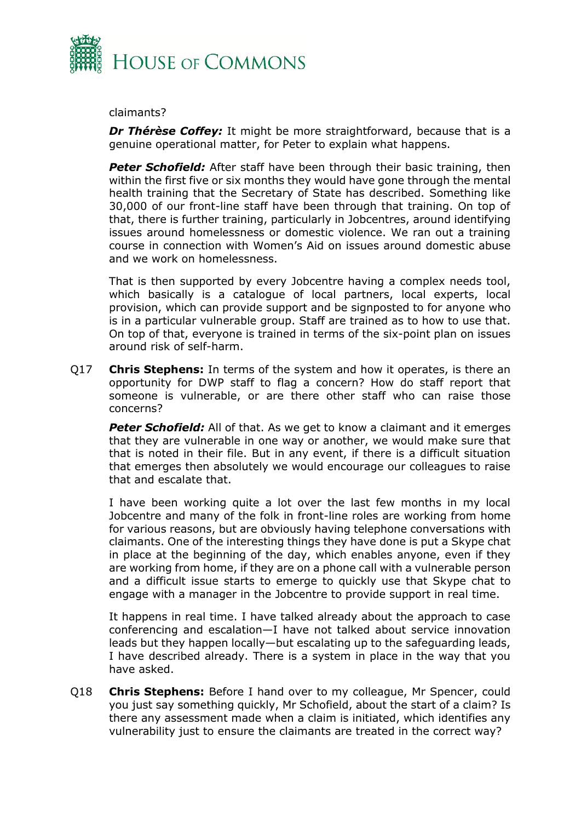

claimants?

*Dr Thérèse Coffey:* It might be more straightforward, because that is a genuine operational matter, for Peter to explain what happens.

*Peter Schofield:* After staff have been through their basic training, then within the first five or six months they would have gone through the mental health training that the Secretary of State has described. Something like 30,000 of our front-line staff have been through that training. On top of that, there is further training, particularly in Jobcentres, around identifying issues around homelessness or domestic violence. We ran out a training course in connection with Women's Aid on issues around domestic abuse and we work on homelessness.

That is then supported by every Jobcentre having a complex needs tool, which basically is a catalogue of local partners, local experts, local provision, which can provide support and be signposted to for anyone who is in a particular vulnerable group. Staff are trained as to how to use that. On top of that, everyone is trained in terms of the six-point plan on issues around risk of self-harm.

Q17 **Chris Stephens:** In terms of the system and how it operates, is there an opportunity for DWP staff to flag a concern? How do staff report that someone is vulnerable, or are there other staff who can raise those concerns?

**Peter Schofield:** All of that. As we get to know a claimant and it emerges that they are vulnerable in one way or another, we would make sure that that is noted in their file. But in any event, if there is a difficult situation that emerges then absolutely we would encourage our colleagues to raise that and escalate that.

I have been working quite a lot over the last few months in my local Jobcentre and many of the folk in front-line roles are working from home for various reasons, but are obviously having telephone conversations with claimants. One of the interesting things they have done is put a Skype chat in place at the beginning of the day, which enables anyone, even if they are working from home, if they are on a phone call with a vulnerable person and a difficult issue starts to emerge to quickly use that Skype chat to engage with a manager in the Jobcentre to provide support in real time.

It happens in real time. I have talked already about the approach to case conferencing and escalation—I have not talked about service innovation leads but they happen locally—but escalating up to the safeguarding leads, I have described already. There is a system in place in the way that you have asked.

Q18 **Chris Stephens:** Before I hand over to my colleague, Mr Spencer, could you just say something quickly, Mr Schofield, about the start of a claim? Is there any assessment made when a claim is initiated, which identifies any vulnerability just to ensure the claimants are treated in the correct way?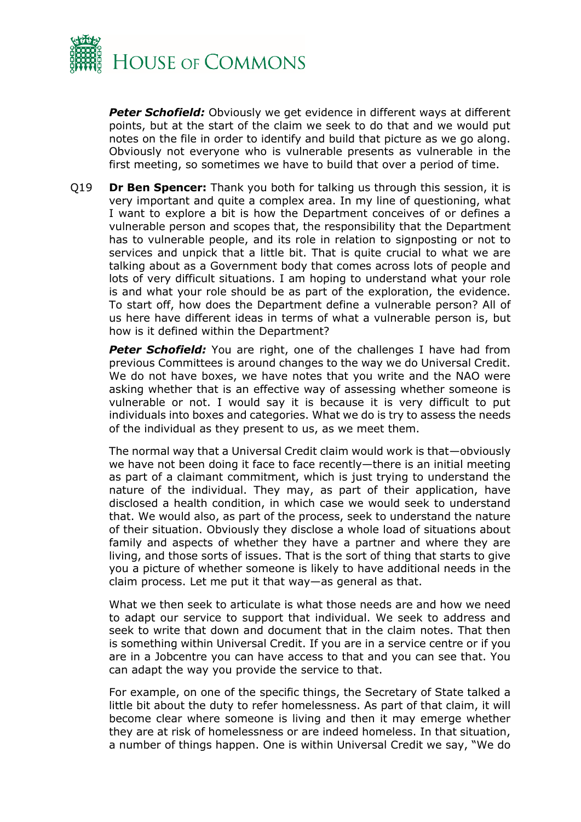

*Peter Schofield:* Obviously we get evidence in different ways at different points, but at the start of the claim we seek to do that and we would put notes on the file in order to identify and build that picture as we go along. Obviously not everyone who is vulnerable presents as vulnerable in the first meeting, so sometimes we have to build that over a period of time.

Q19 **Dr Ben Spencer:** Thank you both for talking us through this session, it is very important and quite a complex area. In my line of questioning, what I want to explore a bit is how the Department conceives of or defines a vulnerable person and scopes that, the responsibility that the Department has to vulnerable people, and its role in relation to signposting or not to services and unpick that a little bit. That is quite crucial to what we are talking about as a Government body that comes across lots of people and lots of very difficult situations. I am hoping to understand what your role is and what your role should be as part of the exploration, the evidence. To start off, how does the Department define a vulnerable person? All of us here have different ideas in terms of what a vulnerable person is, but how is it defined within the Department?

**Peter Schofield:** You are right, one of the challenges I have had from previous Committees is around changes to the way we do Universal Credit. We do not have boxes, we have notes that you write and the NAO were asking whether that is an effective way of assessing whether someone is vulnerable or not. I would say it is because it is very difficult to put individuals into boxes and categories. What we do is try to assess the needs of the individual as they present to us, as we meet them.

The normal way that a Universal Credit claim would work is that—obviously we have not been doing it face to face recently—there is an initial meeting as part of a claimant commitment, which is just trying to understand the nature of the individual. They may, as part of their application, have disclosed a health condition, in which case we would seek to understand that. We would also, as part of the process, seek to understand the nature of their situation. Obviously they disclose a whole load of situations about family and aspects of whether they have a partner and where they are living, and those sorts of issues. That is the sort of thing that starts to give you a picture of whether someone is likely to have additional needs in the claim process. Let me put it that way—as general as that.

What we then seek to articulate is what those needs are and how we need to adapt our service to support that individual. We seek to address and seek to write that down and document that in the claim notes. That then is something within Universal Credit. If you are in a service centre or if you are in a Jobcentre you can have access to that and you can see that. You can adapt the way you provide the service to that.

For example, on one of the specific things, the Secretary of State talked a little bit about the duty to refer homelessness. As part of that claim, it will become clear where someone is living and then it may emerge whether they are at risk of homelessness or are indeed homeless. In that situation, a number of things happen. One is within Universal Credit we say, "We do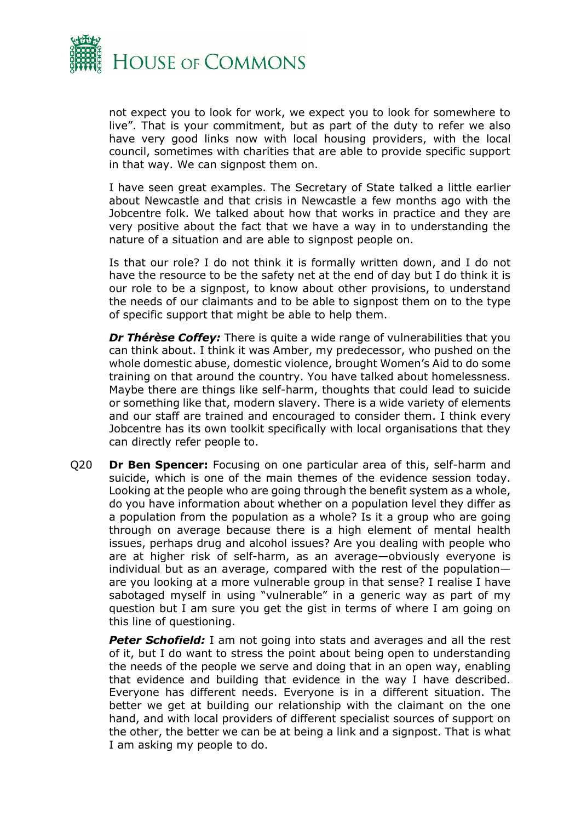

not expect you to look for work, we expect you to look for somewhere to live". That is your commitment, but as part of the duty to refer we also have very good links now with local housing providers, with the local council, sometimes with charities that are able to provide specific support in that way. We can signpost them on.

I have seen great examples. The Secretary of State talked a little earlier about Newcastle and that crisis in Newcastle a few months ago with the Jobcentre folk. We talked about how that works in practice and they are very positive about the fact that we have a way in to understanding the nature of a situation and are able to signpost people on.

Is that our role? I do not think it is formally written down, and I do not have the resource to be the safety net at the end of day but I do think it is our role to be a signpost, to know about other provisions, to understand the needs of our claimants and to be able to signpost them on to the type of specific support that might be able to help them.

*Dr Thérèse Coffey:* There is quite a wide range of vulnerabilities that you can think about. I think it was Amber, my predecessor, who pushed on the whole domestic abuse, domestic violence, brought Women's Aid to do some training on that around the country. You have talked about homelessness. Maybe there are things like self-harm, thoughts that could lead to suicide or something like that, modern slavery. There is a wide variety of elements and our staff are trained and encouraged to consider them. I think every Jobcentre has its own toolkit specifically with local organisations that they can directly refer people to.

Q20 **Dr Ben Spencer:** Focusing on one particular area of this, self-harm and suicide, which is one of the main themes of the evidence session today. Looking at the people who are going through the benefit system as a whole, do you have information about whether on a population level they differ as a population from the population as a whole? Is it a group who are going through on average because there is a high element of mental health issues, perhaps drug and alcohol issues? Are you dealing with people who are at higher risk of self-harm, as an average—obviously everyone is individual but as an average, compared with the rest of the population are you looking at a more vulnerable group in that sense? I realise I have sabotaged myself in using "vulnerable" in a generic way as part of my question but I am sure you get the gist in terms of where I am going on this line of questioning.

*Peter Schofield:* I am not going into stats and averages and all the rest of it, but I do want to stress the point about being open to understanding the needs of the people we serve and doing that in an open way, enabling that evidence and building that evidence in the way I have described. Everyone has different needs. Everyone is in a different situation. The better we get at building our relationship with the claimant on the one hand, and with local providers of different specialist sources of support on the other, the better we can be at being a link and a signpost. That is what I am asking my people to do.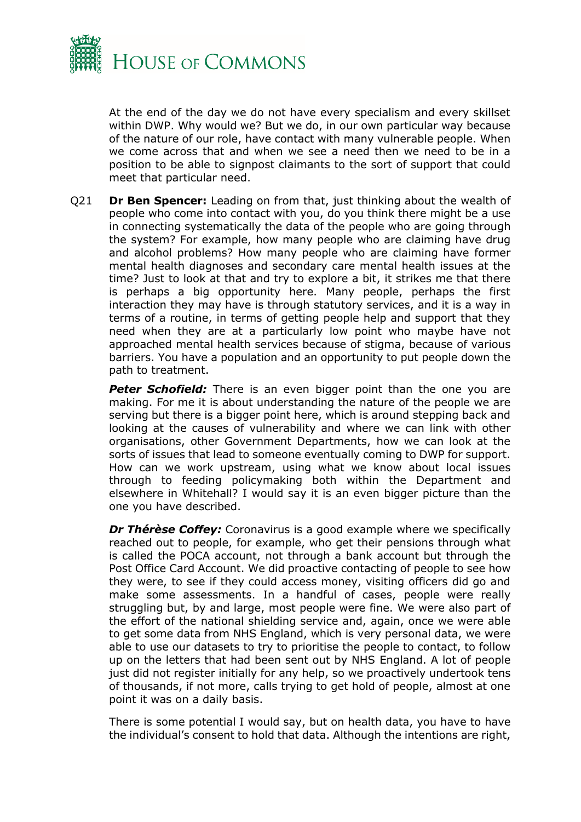

At the end of the day we do not have every specialism and every skillset within DWP. Why would we? But we do, in our own particular way because of the nature of our role, have contact with many vulnerable people. When we come across that and when we see a need then we need to be in a position to be able to signpost claimants to the sort of support that could meet that particular need.

Q21 **Dr Ben Spencer:** Leading on from that, just thinking about the wealth of people who come into contact with you, do you think there might be a use in connecting systematically the data of the people who are going through the system? For example, how many people who are claiming have drug and alcohol problems? How many people who are claiming have former mental health diagnoses and secondary care mental health issues at the time? Just to look at that and try to explore a bit, it strikes me that there is perhaps a big opportunity here. Many people, perhaps the first interaction they may have is through statutory services, and it is a way in terms of a routine, in terms of getting people help and support that they need when they are at a particularly low point who maybe have not approached mental health services because of stigma, because of various barriers. You have a population and an opportunity to put people down the path to treatment.

**Peter Schofield:** There is an even bigger point than the one you are making. For me it is about understanding the nature of the people we are serving but there is a bigger point here, which is around stepping back and looking at the causes of vulnerability and where we can link with other organisations, other Government Departments, how we can look at the sorts of issues that lead to someone eventually coming to DWP for support. How can we work upstream, using what we know about local issues through to feeding policymaking both within the Department and elsewhere in Whitehall? I would say it is an even bigger picture than the one you have described.

*Dr Thérèse Coffey:* Coronavirus is a good example where we specifically reached out to people, for example, who get their pensions through what is called the POCA account, not through a bank account but through the Post Office Card Account. We did proactive contacting of people to see how they were, to see if they could access money, visiting officers did go and make some assessments. In a handful of cases, people were really struggling but, by and large, most people were fine. We were also part of the effort of the national shielding service and, again, once we were able to get some data from NHS England, which is very personal data, we were able to use our datasets to try to prioritise the people to contact, to follow up on the letters that had been sent out by NHS England. A lot of people just did not register initially for any help, so we proactively undertook tens of thousands, if not more, calls trying to get hold of people, almost at one point it was on a daily basis.

There is some potential I would say, but on health data, you have to have the individual's consent to hold that data. Although the intentions are right,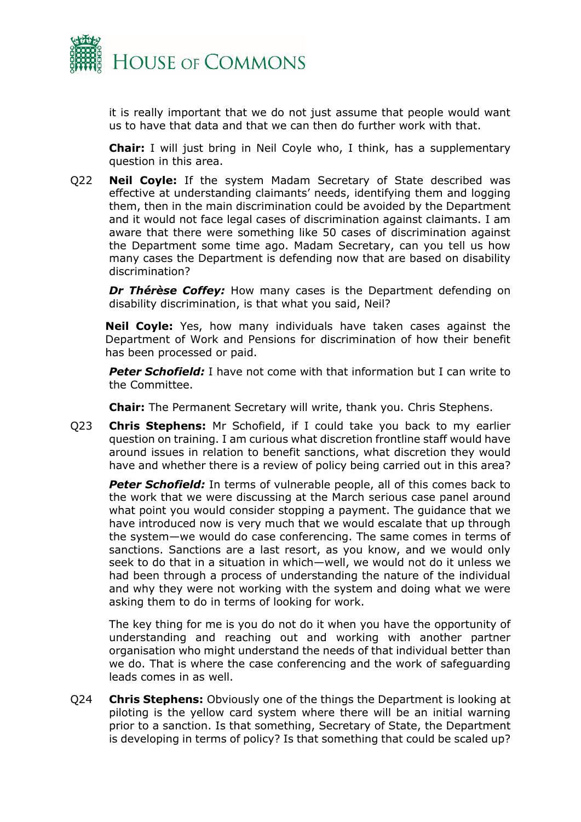

it is really important that we do not just assume that people would want us to have that data and that we can then do further work with that.

**Chair:** I will just bring in Neil Coyle who, I think, has a supplementary question in this area.

Q22 **Neil Coyle:** If the system Madam Secretary of State described was effective at understanding claimants' needs, identifying them and logging them, then in the main discrimination could be avoided by the Department and it would not face legal cases of discrimination against claimants. I am aware that there were something like 50 cases of discrimination against the Department some time ago. Madam Secretary, can you tell us how many cases the Department is defending now that are based on disability discrimination?

*Dr Thérèse Coffey:* How many cases is the Department defending on disability discrimination, is that what you said, Neil?

**Neil Coyle:** Yes, how many individuals have taken cases against the Department of Work and Pensions for discrimination of how their benefit has been processed or paid.

**Peter Schofield:** I have not come with that information but I can write to the Committee.

**Chair:** The Permanent Secretary will write, thank you. Chris Stephens.

Q23 **Chris Stephens:** Mr Schofield, if I could take you back to my earlier question on training. I am curious what discretion frontline staff would have around issues in relation to benefit sanctions, what discretion they would have and whether there is a review of policy being carried out in this area?

**Peter Schofield:** In terms of vulnerable people, all of this comes back to the work that we were discussing at the March serious case panel around what point you would consider stopping a payment. The guidance that we have introduced now is very much that we would escalate that up through the system—we would do case conferencing. The same comes in terms of sanctions. Sanctions are a last resort, as you know, and we would only seek to do that in a situation in which—well, we would not do it unless we had been through a process of understanding the nature of the individual and why they were not working with the system and doing what we were asking them to do in terms of looking for work.

The key thing for me is you do not do it when you have the opportunity of understanding and reaching out and working with another partner organisation who might understand the needs of that individual better than we do. That is where the case conferencing and the work of safeguarding leads comes in as well.

Q24 **Chris Stephens:** Obviously one of the things the Department is looking at piloting is the yellow card system where there will be an initial warning prior to a sanction. Is that something, Secretary of State, the Department is developing in terms of policy? Is that something that could be scaled up?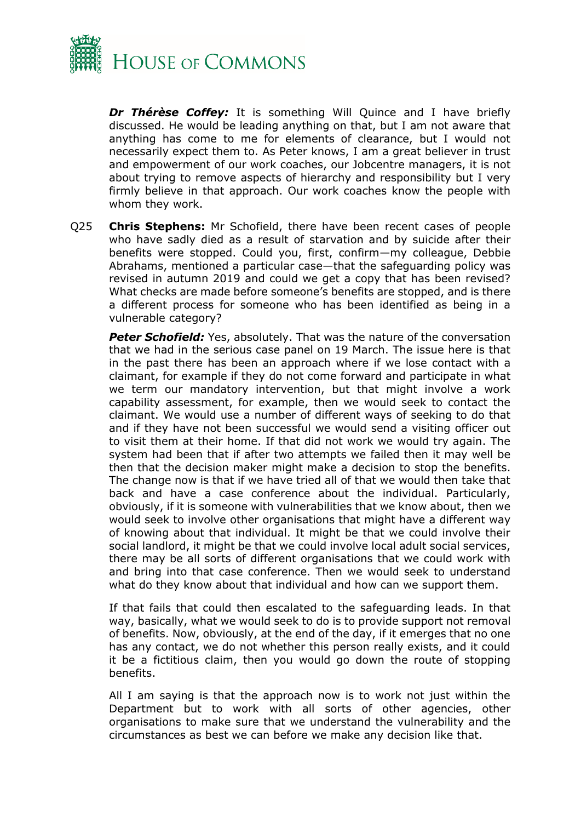

*Dr Thérèse Coffey:* It is something Will Quince and I have briefly discussed. He would be leading anything on that, but I am not aware that anything has come to me for elements of clearance, but I would not necessarily expect them to. As Peter knows, I am a great believer in trust and empowerment of our work coaches, our Jobcentre managers, it is not about trying to remove aspects of hierarchy and responsibility but I very firmly believe in that approach. Our work coaches know the people with whom they work.

Q25 **Chris Stephens:** Mr Schofield, there have been recent cases of people who have sadly died as a result of starvation and by suicide after their benefits were stopped. Could you, first, confirm—my colleague, Debbie Abrahams, mentioned a particular case—that the safeguarding policy was revised in autumn 2019 and could we get a copy that has been revised? What checks are made before someone's benefits are stopped, and is there a different process for someone who has been identified as being in a vulnerable category?

**Peter Schofield:** Yes, absolutely. That was the nature of the conversation that we had in the serious case panel on 19 March. The issue here is that in the past there has been an approach where if we lose contact with a claimant, for example if they do not come forward and participate in what we term our mandatory intervention, but that might involve a work capability assessment, for example, then we would seek to contact the claimant. We would use a number of different ways of seeking to do that and if they have not been successful we would send a visiting officer out to visit them at their home. If that did not work we would try again. The system had been that if after two attempts we failed then it may well be then that the decision maker might make a decision to stop the benefits. The change now is that if we have tried all of that we would then take that back and have a case conference about the individual. Particularly, obviously, if it is someone with vulnerabilities that we know about, then we would seek to involve other organisations that might have a different way of knowing about that individual. It might be that we could involve their social landlord, it might be that we could involve local adult social services, there may be all sorts of different organisations that we could work with and bring into that case conference. Then we would seek to understand what do they know about that individual and how can we support them.

If that fails that could then escalated to the safeguarding leads. In that way, basically, what we would seek to do is to provide support not removal of benefits. Now, obviously, at the end of the day, if it emerges that no one has any contact, we do not whether this person really exists, and it could it be a fictitious claim, then you would go down the route of stopping benefits.

All I am saying is that the approach now is to work not just within the Department but to work with all sorts of other agencies, other organisations to make sure that we understand the vulnerability and the circumstances as best we can before we make any decision like that.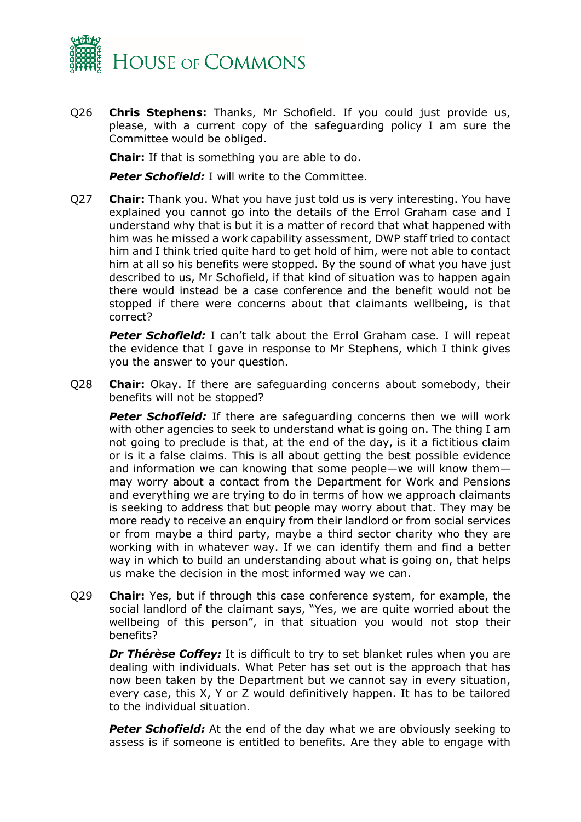

Q26 **Chris Stephens:** Thanks, Mr Schofield. If you could just provide us, please, with a current copy of the safeguarding policy I am sure the Committee would be obliged.

**Chair:** If that is something you are able to do.

**Peter Schofield:** I will write to the Committee.

Q27 **Chair:** Thank you. What you have just told us is very interesting. You have explained you cannot go into the details of the Errol Graham case and I understand why that is but it is a matter of record that what happened with him was he missed a work capability assessment, DWP staff tried to contact him and I think tried quite hard to get hold of him, were not able to contact him at all so his benefits were stopped. By the sound of what you have just described to us, Mr Schofield, if that kind of situation was to happen again there would instead be a case conference and the benefit would not be stopped if there were concerns about that claimants wellbeing, is that correct?

**Peter Schofield:** I can't talk about the Errol Graham case. I will repeat the evidence that I gave in response to Mr Stephens, which I think gives you the answer to your question.

Q28 **Chair:** Okay. If there are safeguarding concerns about somebody, their benefits will not be stopped?

**Peter Schofield:** If there are safeguarding concerns then we will work with other agencies to seek to understand what is going on. The thing I am not going to preclude is that, at the end of the day, is it a fictitious claim or is it a false claims. This is all about getting the best possible evidence and information we can knowing that some people—we will know them may worry about a contact from the Department for Work and Pensions and everything we are trying to do in terms of how we approach claimants is seeking to address that but people may worry about that. They may be more ready to receive an enquiry from their landlord or from social services or from maybe a third party, maybe a third sector charity who they are working with in whatever way. If we can identify them and find a better way in which to build an understanding about what is going on, that helps us make the decision in the most informed way we can.

Q29 **Chair:** Yes, but if through this case conference system, for example, the social landlord of the claimant says, "Yes, we are quite worried about the wellbeing of this person", in that situation you would not stop their benefits?

*Dr Thérèse Coffey:* It is difficult to try to set blanket rules when you are dealing with individuals. What Peter has set out is the approach that has now been taken by the Department but we cannot say in every situation, every case, this X, Y or Z would definitively happen. It has to be tailored to the individual situation.

**Peter Schofield:** At the end of the day what we are obviously seeking to assess is if someone is entitled to benefits. Are they able to engage with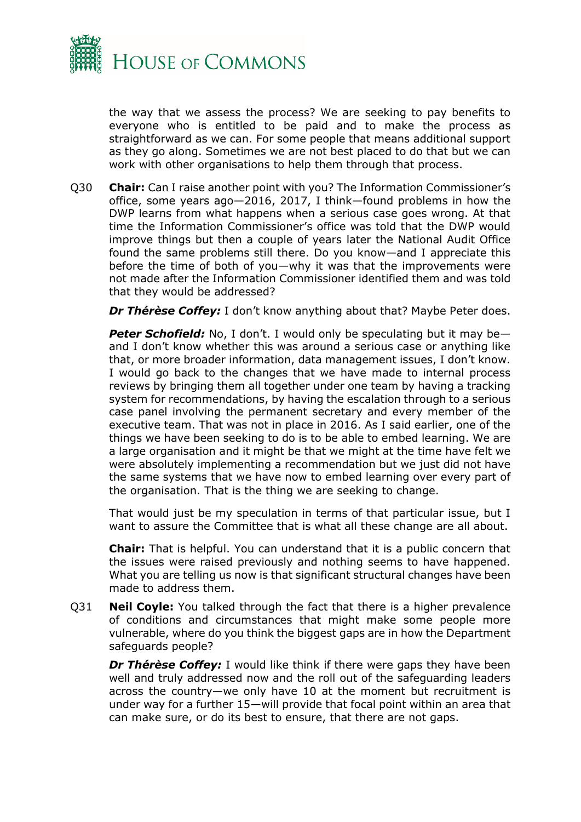

the way that we assess the process? We are seeking to pay benefits to everyone who is entitled to be paid and to make the process as straightforward as we can. For some people that means additional support as they go along. Sometimes we are not best placed to do that but we can work with other organisations to help them through that process.

Q30 **Chair:** Can I raise another point with you? The Information Commissioner's office, some years ago—2016, 2017, I think—found problems in how the DWP learns from what happens when a serious case goes wrong. At that time the Information Commissioner's office was told that the DWP would improve things but then a couple of years later the National Audit Office found the same problems still there. Do you know—and I appreciate this before the time of both of you—why it was that the improvements were not made after the Information Commissioner identified them and was told that they would be addressed?

**Dr Thérèse Coffey:** I don't know anything about that? Maybe Peter does.

**Peter Schofield:** No, I don't. I would only be speculating but it may beand I don't know whether this was around a serious case or anything like that, or more broader information, data management issues, I don't know. I would go back to the changes that we have made to internal process reviews by bringing them all together under one team by having a tracking system for recommendations, by having the escalation through to a serious case panel involving the permanent secretary and every member of the executive team. That was not in place in 2016. As I said earlier, one of the things we have been seeking to do is to be able to embed learning. We are a large organisation and it might be that we might at the time have felt we were absolutely implementing a recommendation but we just did not have the same systems that we have now to embed learning over every part of the organisation. That is the thing we are seeking to change.

That would just be my speculation in terms of that particular issue, but I want to assure the Committee that is what all these change are all about.

**Chair:** That is helpful. You can understand that it is a public concern that the issues were raised previously and nothing seems to have happened. What you are telling us now is that significant structural changes have been made to address them.

Q31 **Neil Coyle:** You talked through the fact that there is a higher prevalence of conditions and circumstances that might make some people more vulnerable, where do you think the biggest gaps are in how the Department safeguards people?

*Dr Thérèse Coffey:* I would like think if there were gaps they have been well and truly addressed now and the roll out of the safeguarding leaders across the country—we only have 10 at the moment but recruitment is under way for a further 15—will provide that focal point within an area that can make sure, or do its best to ensure, that there are not gaps.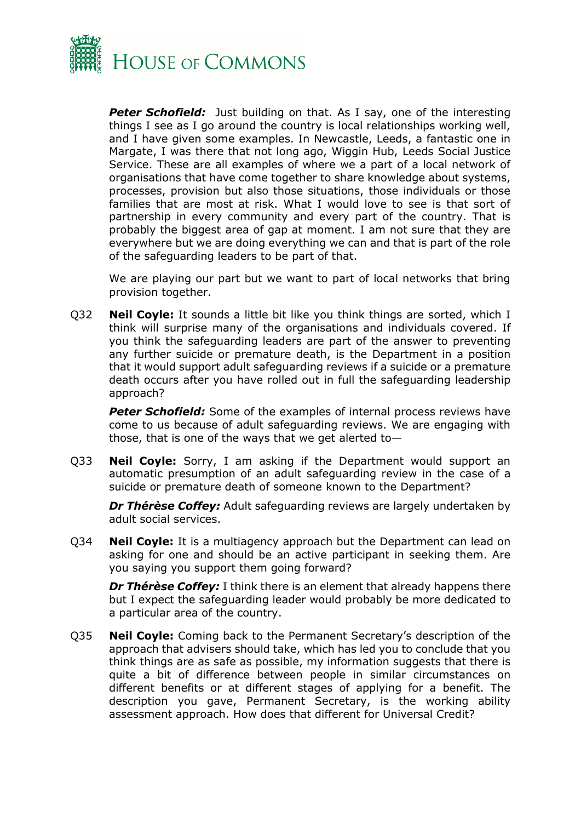

**Peter Schofield:** Just building on that. As I say, one of the interesting things I see as I go around the country is local relationships working well, and I have given some examples. In Newcastle, Leeds, a fantastic one in Margate, I was there that not long ago, Wiggin Hub, Leeds Social Justice Service. These are all examples of where we a part of a local network of organisations that have come together to share knowledge about systems, processes, provision but also those situations, those individuals or those families that are most at risk. What I would love to see is that sort of partnership in every community and every part of the country. That is probably the biggest area of gap at moment. I am not sure that they are everywhere but we are doing everything we can and that is part of the role of the safeguarding leaders to be part of that.

We are playing our part but we want to part of local networks that bring provision together.

Q32 **Neil Coyle:** It sounds a little bit like you think things are sorted, which I think will surprise many of the organisations and individuals covered. If you think the safeguarding leaders are part of the answer to preventing any further suicide or premature death, is the Department in a position that it would support adult safeguarding reviews if a suicide or a premature death occurs after you have rolled out in full the safeguarding leadership approach?

**Peter Schofield:** Some of the examples of internal process reviews have come to us because of adult safeguarding reviews. We are engaging with those, that is one of the ways that we get alerted to—

Q33 **Neil Coyle:** Sorry, I am asking if the Department would support an automatic presumption of an adult safeguarding review in the case of a suicide or premature death of someone known to the Department?

*Dr Thérèse Coffey:* Adult safeguarding reviews are largely undertaken by adult social services.

Q34 **Neil Coyle:** It is a multiagency approach but the Department can lead on asking for one and should be an active participant in seeking them. Are you saying you support them going forward?

*Dr Thérèse Coffey: I think there is an element that already happens there* but I expect the safeguarding leader would probably be more dedicated to a particular area of the country.

Q35 **Neil Coyle:** Coming back to the Permanent Secretary's description of the approach that advisers should take, which has led you to conclude that you think things are as safe as possible, my information suggests that there is quite a bit of difference between people in similar circumstances on different benefits or at different stages of applying for a benefit. The description you gave, Permanent Secretary, is the working ability assessment approach. How does that different for Universal Credit?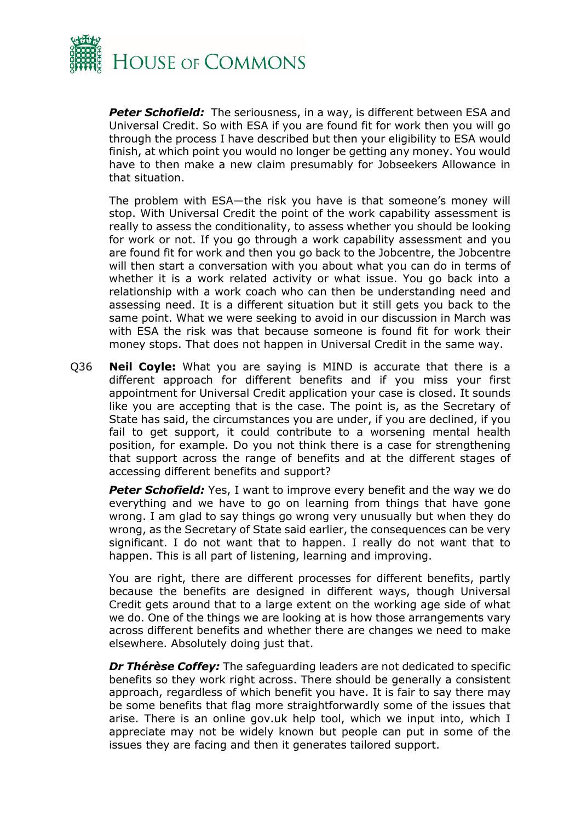

*Peter Schofield:* The seriousness, in a way, is different between ESA and Universal Credit. So with ESA if you are found fit for work then you will go through the process I have described but then your eligibility to ESA would finish, at which point you would no longer be getting any money. You would have to then make a new claim presumably for Jobseekers Allowance in that situation.

The problem with ESA—the risk you have is that someone's money will stop. With Universal Credit the point of the work capability assessment is really to assess the conditionality, to assess whether you should be looking for work or not. If you go through a work capability assessment and you are found fit for work and then you go back to the Jobcentre, the Jobcentre will then start a conversation with you about what you can do in terms of whether it is a work related activity or what issue. You go back into a relationship with a work coach who can then be understanding need and assessing need. It is a different situation but it still gets you back to the same point. What we were seeking to avoid in our discussion in March was with ESA the risk was that because someone is found fit for work their money stops. That does not happen in Universal Credit in the same way.

Q36 **Neil Coyle:** What you are saying is MIND is accurate that there is a different approach for different benefits and if you miss your first appointment for Universal Credit application your case is closed. It sounds like you are accepting that is the case. The point is, as the Secretary of State has said, the circumstances you are under, if you are declined, if you fail to get support, it could contribute to a worsening mental health position, for example. Do you not think there is a case for strengthening that support across the range of benefits and at the different stages of accessing different benefits and support?

**Peter Schofield:** Yes, I want to improve every benefit and the way we do everything and we have to go on learning from things that have gone wrong. I am glad to say things go wrong very unusually but when they do wrong, as the Secretary of State said earlier, the consequences can be very significant. I do not want that to happen. I really do not want that to happen. This is all part of listening, learning and improving.

You are right, there are different processes for different benefits, partly because the benefits are designed in different ways, though Universal Credit gets around that to a large extent on the working age side of what we do. One of the things we are looking at is how those arrangements vary across different benefits and whether there are changes we need to make elsewhere. Absolutely doing just that.

*Dr Thérèse Coffey:* The safeguarding leaders are not dedicated to specific benefits so they work right across. There should be generally a consistent approach, regardless of which benefit you have. It is fair to say there may be some benefits that flag more straightforwardly some of the issues that arise. There is an online gov.uk help tool, which we input into, which I appreciate may not be widely known but people can put in some of the issues they are facing and then it generates tailored support.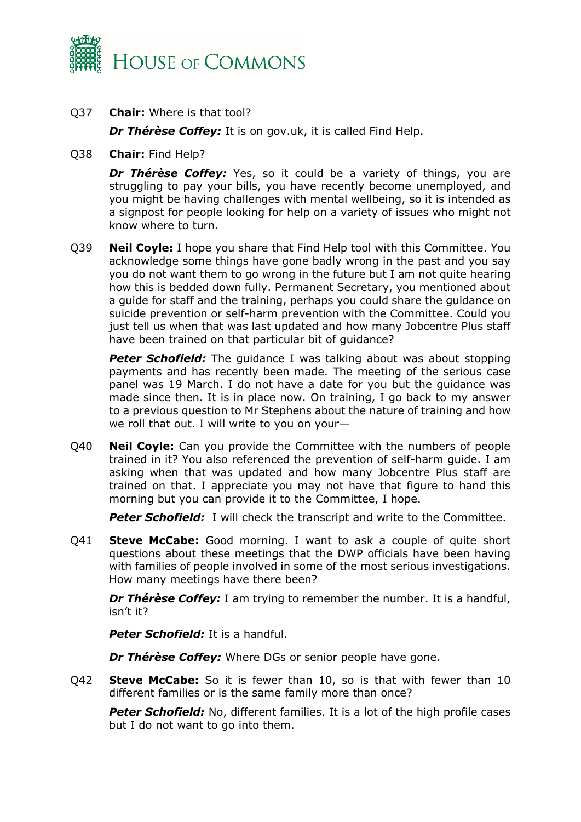

Q37 **Chair:** Where is that tool?

*Dr Thérèse Coffey:* It is on gov.uk, it is called Find Help.

Q38 **Chair:** Find Help?

*Dr Thérèse Coffey:* Yes, so it could be a variety of things, you are struggling to pay your bills, you have recently become unemployed, and you might be having challenges with mental wellbeing, so it is intended as a signpost for people looking for help on a variety of issues who might not know where to turn.

Q39 **Neil Coyle:** I hope you share that Find Help tool with this Committee. You acknowledge some things have gone badly wrong in the past and you say you do not want them to go wrong in the future but I am not quite hearing how this is bedded down fully. Permanent Secretary, you mentioned about a guide for staff and the training, perhaps you could share the guidance on suicide prevention or self-harm prevention with the Committee. Could you just tell us when that was last updated and how many Jobcentre Plus staff have been trained on that particular bit of guidance?

**Peter Schofield:** The quidance I was talking about was about stopping payments and has recently been made. The meeting of the serious case panel was 19 March. I do not have a date for you but the guidance was made since then. It is in place now. On training, I go back to my answer to a previous question to Mr Stephens about the nature of training and how we roll that out. I will write to you on your—

Q40 **Neil Coyle:** Can you provide the Committee with the numbers of people trained in it? You also referenced the prevention of self-harm guide. I am asking when that was updated and how many Jobcentre Plus staff are trained on that. I appreciate you may not have that figure to hand this morning but you can provide it to the Committee, I hope.

**Peter Schofield:** I will check the transcript and write to the Committee.

Q41 **Steve McCabe:** Good morning. I want to ask a couple of quite short questions about these meetings that the DWP officials have been having with families of people involved in some of the most serious investigations. How many meetings have there been?

*Dr Thérèse Coffey:* I am trying to remember the number. It is a handful, isn't it?

*Peter Schofield:* It is a handful.

*Dr Thérèse Coffey:* Where DGs or senior people have gone.

Q42 **Steve McCabe:** So it is fewer than 10, so is that with fewer than 10 different families or is the same family more than once?

**Peter Schofield:** No, different families. It is a lot of the high profile cases but I do not want to go into them.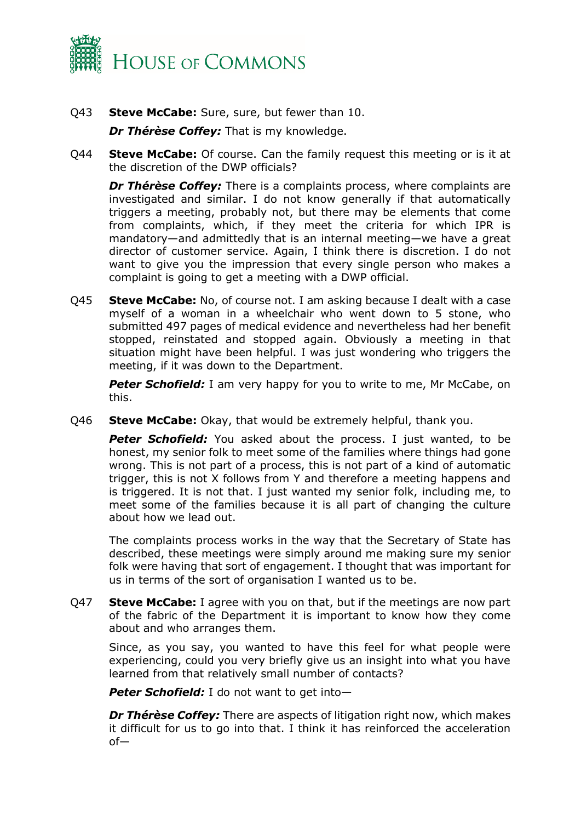

Q43 **Steve McCabe:** Sure, sure, but fewer than 10.

*Dr Thérèse Coffey:* That is my knowledge.

Q44 **Steve McCabe:** Of course. Can the family request this meeting or is it at the discretion of the DWP officials?

*Dr Thérèse Coffey:* There is a complaints process, where complaints are investigated and similar. I do not know generally if that automatically triggers a meeting, probably not, but there may be elements that come from complaints, which, if they meet the criteria for which IPR is mandatory—and admittedly that is an internal meeting—we have a great director of customer service. Again, I think there is discretion. I do not want to give you the impression that every single person who makes a complaint is going to get a meeting with a DWP official.

Q45 **Steve McCabe:** No, of course not. I am asking because I dealt with a case myself of a woman in a wheelchair who went down to 5 stone, who submitted 497 pages of medical evidence and nevertheless had her benefit stopped, reinstated and stopped again. Obviously a meeting in that situation might have been helpful. I was just wondering who triggers the meeting, if it was down to the Department.

**Peter Schofield:** I am very happy for you to write to me, Mr McCabe, on this.

Q46 **Steve McCabe:** Okay, that would be extremely helpful, thank you.

**Peter Schofield:** You asked about the process. I just wanted, to be honest, my senior folk to meet some of the families where things had gone wrong. This is not part of a process, this is not part of a kind of automatic trigger, this is not X follows from Y and therefore a meeting happens and is triggered. It is not that. I just wanted my senior folk, including me, to meet some of the families because it is all part of changing the culture about how we lead out.

The complaints process works in the way that the Secretary of State has described, these meetings were simply around me making sure my senior folk were having that sort of engagement. I thought that was important for us in terms of the sort of organisation I wanted us to be.

Q47 **Steve McCabe:** I agree with you on that, but if the meetings are now part of the fabric of the Department it is important to know how they come about and who arranges them.

Since, as you say, you wanted to have this feel for what people were experiencing, could you very briefly give us an insight into what you have learned from that relatively small number of contacts?

*Peter Schofield:* I do not want to get into—

*Dr Thérèse Coffey:* There are aspects of litigation right now, which makes it difficult for us to go into that. I think it has reinforced the acceleration of—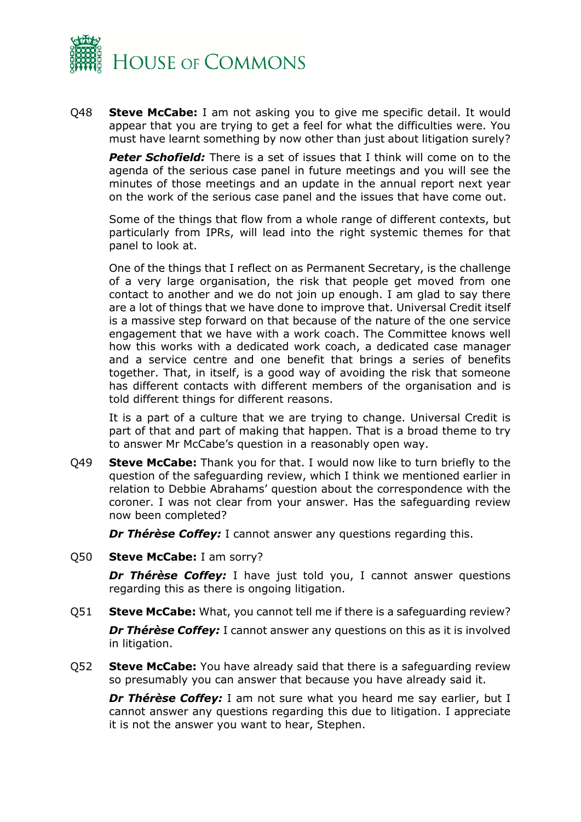

Q48 **Steve McCabe:** I am not asking you to give me specific detail. It would appear that you are trying to get a feel for what the difficulties were. You must have learnt something by now other than just about litigation surely?

**Peter Schofield:** There is a set of issues that I think will come on to the agenda of the serious case panel in future meetings and you will see the minutes of those meetings and an update in the annual report next year on the work of the serious case panel and the issues that have come out.

Some of the things that flow from a whole range of different contexts, but particularly from IPRs, will lead into the right systemic themes for that panel to look at.

One of the things that I reflect on as Permanent Secretary, is the challenge of a very large organisation, the risk that people get moved from one contact to another and we do not join up enough. I am glad to say there are a lot of things that we have done to improve that. Universal Credit itself is a massive step forward on that because of the nature of the one service engagement that we have with a work coach. The Committee knows well how this works with a dedicated work coach, a dedicated case manager and a service centre and one benefit that brings a series of benefits together. That, in itself, is a good way of avoiding the risk that someone has different contacts with different members of the organisation and is told different things for different reasons.

It is a part of a culture that we are trying to change. Universal Credit is part of that and part of making that happen. That is a broad theme to try to answer Mr McCabe's question in a reasonably open way.

Q49 **Steve McCabe:** Thank you for that. I would now like to turn briefly to the question of the safeguarding review, which I think we mentioned earlier in relation to Debbie Abrahams' question about the correspondence with the coroner. I was not clear from your answer. Has the safeguarding review now been completed?

*Dr Thérèse Coffey: I cannot answer any questions regarding this.* 

Q50 **Steve McCabe:** I am sorry?

**Dr Thérèse Coffey:** I have just told you, I cannot answer questions regarding this as there is ongoing litigation.

Q51 **Steve McCabe:** What, you cannot tell me if there is a safeguarding review?

*Dr Thérèse Coffey: I cannot answer any questions on this as it is involved* in litigation.

Q52 **Steve McCabe:** You have already said that there is a safeguarding review so presumably you can answer that because you have already said it.

*Dr Thérèse Coffey:* I am not sure what you heard me say earlier, but I cannot answer any questions regarding this due to litigation. I appreciate it is not the answer you want to hear, Stephen.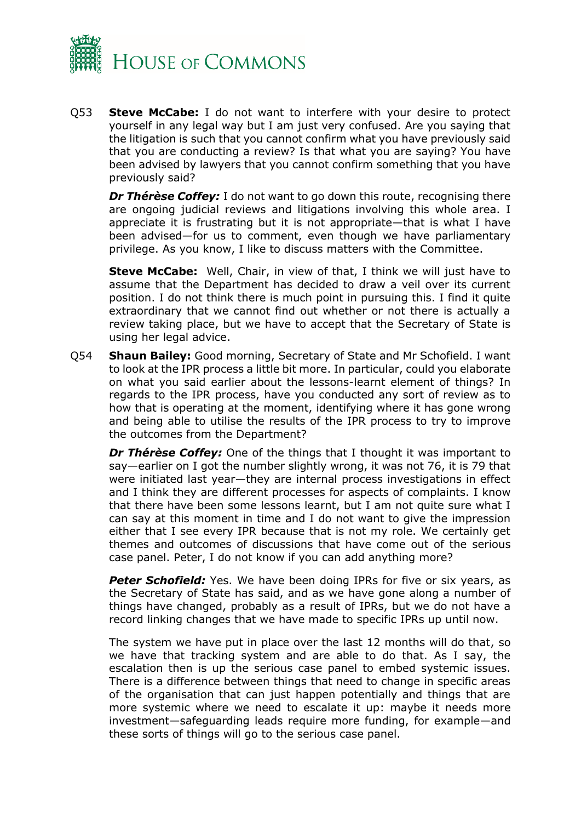

Q53 **Steve McCabe:** I do not want to interfere with your desire to protect yourself in any legal way but I am just very confused. Are you saying that the litigation is such that you cannot confirm what you have previously said that you are conducting a review? Is that what you are saying? You have been advised by lawyers that you cannot confirm something that you have previously said?

*Dr Thérèse Coffey:* I do not want to go down this route, recognising there are ongoing judicial reviews and litigations involving this whole area. I appreciate it is frustrating but it is not appropriate—that is what I have been advised—for us to comment, even though we have parliamentary privilege. As you know, I like to discuss matters with the Committee.

**Steve McCabe:** Well, Chair, in view of that, I think we will just have to assume that the Department has decided to draw a veil over its current position. I do not think there is much point in pursuing this. I find it quite extraordinary that we cannot find out whether or not there is actually a review taking place, but we have to accept that the Secretary of State is using her legal advice.

Q54 **Shaun Bailey:** Good morning, Secretary of State and Mr Schofield. I want to look at the IPR process a little bit more. In particular, could you elaborate on what you said earlier about the lessons-learnt element of things? In regards to the IPR process, have you conducted any sort of review as to how that is operating at the moment, identifying where it has gone wrong and being able to utilise the results of the IPR process to try to improve the outcomes from the Department?

*Dr Thérèse Coffey:* One of the things that I thought it was important to say—earlier on I got the number slightly wrong, it was not 76, it is 79 that were initiated last year—they are internal process investigations in effect and I think they are different processes for aspects of complaints. I know that there have been some lessons learnt, but I am not quite sure what I can say at this moment in time and I do not want to give the impression either that I see every IPR because that is not my role. We certainly get themes and outcomes of discussions that have come out of the serious case panel. Peter, I do not know if you can add anything more?

**Peter Schofield:** Yes. We have been doing IPRs for five or six years, as the Secretary of State has said, and as we have gone along a number of things have changed, probably as a result of IPRs, but we do not have a record linking changes that we have made to specific IPRs up until now.

The system we have put in place over the last 12 months will do that, so we have that tracking system and are able to do that. As I say, the escalation then is up the serious case panel to embed systemic issues. There is a difference between things that need to change in specific areas of the organisation that can just happen potentially and things that are more systemic where we need to escalate it up: maybe it needs more investment—safeguarding leads require more funding, for example—and these sorts of things will go to the serious case panel.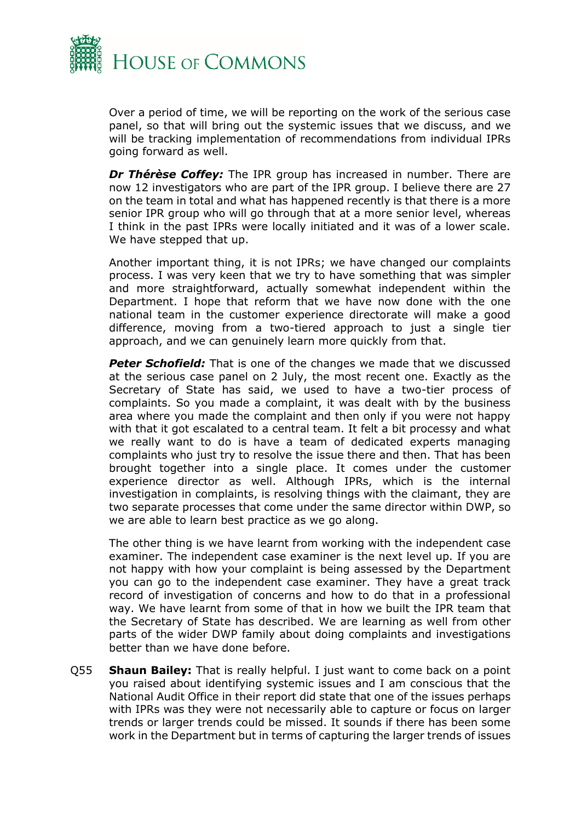

Over a period of time, we will be reporting on the work of the serious case panel, so that will bring out the systemic issues that we discuss, and we will be tracking implementation of recommendations from individual IPRs going forward as well.

*Dr Thérèse Coffey:* The IPR group has increased in number. There are now 12 investigators who are part of the IPR group. I believe there are 27 on the team in total and what has happened recently is that there is a more senior IPR group who will go through that at a more senior level, whereas I think in the past IPRs were locally initiated and it was of a lower scale. We have stepped that up.

Another important thing, it is not IPRs; we have changed our complaints process. I was very keen that we try to have something that was simpler and more straightforward, actually somewhat independent within the Department. I hope that reform that we have now done with the one national team in the customer experience directorate will make a good difference, moving from a two-tiered approach to just a single tier approach, and we can genuinely learn more quickly from that.

*Peter Schofield:* That is one of the changes we made that we discussed at the serious case panel on 2 July, the most recent one. Exactly as the Secretary of State has said, we used to have a two-tier process of complaints. So you made a complaint, it was dealt with by the business area where you made the complaint and then only if you were not happy with that it got escalated to a central team. It felt a bit processy and what we really want to do is have a team of dedicated experts managing complaints who just try to resolve the issue there and then. That has been brought together into a single place. It comes under the customer experience director as well. Although IPRs, which is the internal investigation in complaints, is resolving things with the claimant, they are two separate processes that come under the same director within DWP, so we are able to learn best practice as we go along.

The other thing is we have learnt from working with the independent case examiner. The independent case examiner is the next level up. If you are not happy with how your complaint is being assessed by the Department you can go to the independent case examiner. They have a great track record of investigation of concerns and how to do that in a professional way. We have learnt from some of that in how we built the IPR team that the Secretary of State has described. We are learning as well from other parts of the wider DWP family about doing complaints and investigations better than we have done before.

Q55 **Shaun Bailey:** That is really helpful. I just want to come back on a point you raised about identifying systemic issues and I am conscious that the National Audit Office in their report did state that one of the issues perhaps with IPRs was they were not necessarily able to capture or focus on larger trends or larger trends could be missed. It sounds if there has been some work in the Department but in terms of capturing the larger trends of issues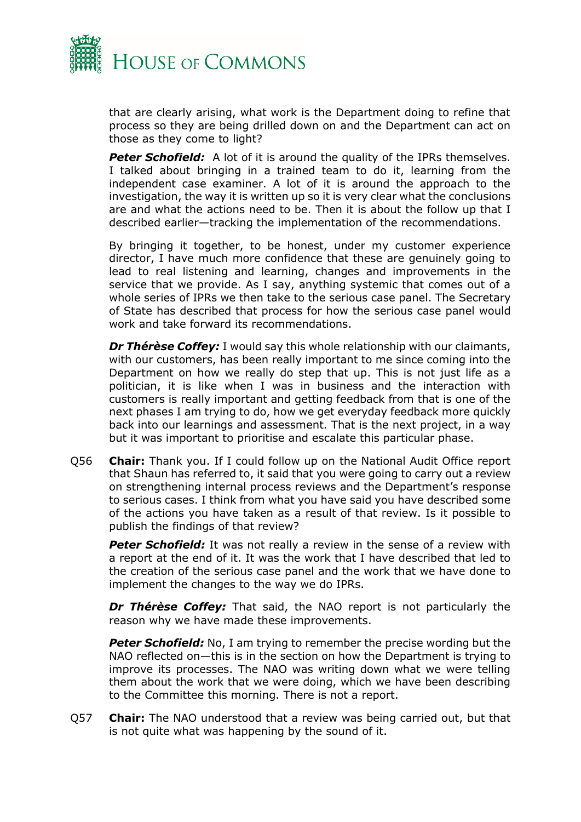

that are clearly arising, what work is the Department doing to refine that process so they are being drilled down on and the Department can act on those as they come to light?

**Peter Schofield:** A lot of it is around the quality of the IPRs themselves. I talked about bringing in a trained team to do it, learning from the independent case examiner. A lot of it is around the approach to the investigation, the way it is written up so it is very clear what the conclusions are and what the actions need to be. Then it is about the follow up that I described earlier—tracking the implementation of the recommendations.

By bringing it together, to be honest, under my customer experience director, I have much more confidence that these are genuinely going to lead to real listening and learning, changes and improvements in the service that we provide. As I say, anything systemic that comes out of a whole series of IPRs we then take to the serious case panel. The Secretary of State has described that process for how the serious case panel would work and take forward its recommendations.

*Dr Thérèse Coffey:* I would say this whole relationship with our claimants, with our customers, has been really important to me since coming into the Department on how we really do step that up. This is not just life as a politician, it is like when I was in business and the interaction with customers is really important and getting feedback from that is one of the next phases I am trying to do, how we get everyday feedback more quickly back into our learnings and assessment. That is the next project, in a way but it was important to prioritise and escalate this particular phase.

Q56 **Chair:** Thank you. If I could follow up on the National Audit Office report that Shaun has referred to, it said that you were going to carry out a review on strengthening internal process reviews and the Department's response to serious cases. I think from what you have said you have described some of the actions you have taken as a result of that review. Is it possible to publish the findings of that review?

**Peter Schofield:** It was not really a review in the sense of a review with a report at the end of it. It was the work that I have described that led to the creation of the serious case panel and the work that we have done to implement the changes to the way we do IPRs.

*Dr Thérèse Coffey:* That said, the NAO report is not particularly the reason why we have made these improvements.

**Peter Schofield:** No, I am trying to remember the precise wording but the NAO reflected on—this is in the section on how the Department is trying to improve its processes. The NAO was writing down what we were telling them about the work that we were doing, which we have been describing to the Committee this morning. There is not a report.

Q57 **Chair:** The NAO understood that a review was being carried out, but that is not quite what was happening by the sound of it.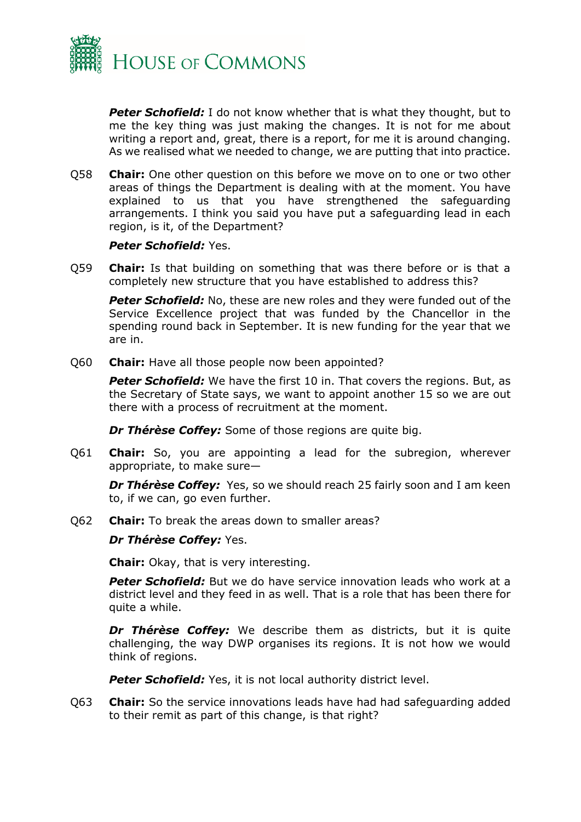

**Peter Schofield:** I do not know whether that is what they thought, but to me the key thing was just making the changes. It is not for me about writing a report and, great, there is a report, for me it is around changing. As we realised what we needed to change, we are putting that into practice.

Q58 **Chair:** One other question on this before we move on to one or two other areas of things the Department is dealing with at the moment. You have explained to us that you have strengthened the safeguarding arrangements. I think you said you have put a safeguarding lead in each region, is it, of the Department?

#### *Peter Schofield:* Yes.

Q59 **Chair:** Is that building on something that was there before or is that a completely new structure that you have established to address this?

**Peter Schofield:** No, these are new roles and they were funded out of the Service Excellence project that was funded by the Chancellor in the spending round back in September. It is new funding for the year that we are in.

Q60 **Chair:** Have all those people now been appointed?

**Peter Schofield:** We have the first 10 in. That covers the regions. But, as the Secretary of State says, we want to appoint another 15 so we are out there with a process of recruitment at the moment.

*Dr Thérèse Coffey:* Some of those regions are quite big.

Q61 **Chair:** So, you are appointing a lead for the subregion, wherever appropriate, to make sure—

**Dr Thérèse Coffey:** Yes, so we should reach 25 fairly soon and I am keen to, if we can, go even further.

Q62 **Chair:** To break the areas down to smaller areas?

#### *Dr Thérèse Coffey:* Yes.

**Chair:** Okay, that is very interesting.

**Peter Schofield:** But we do have service innovation leads who work at a district level and they feed in as well. That is a role that has been there for quite a while.

*Dr Thérèse Coffey:* We describe them as districts, but it is quite challenging, the way DWP organises its regions. It is not how we would think of regions.

**Peter Schofield:** Yes, it is not local authority district level.

Q63 **Chair:** So the service innovations leads have had had safeguarding added to their remit as part of this change, is that right?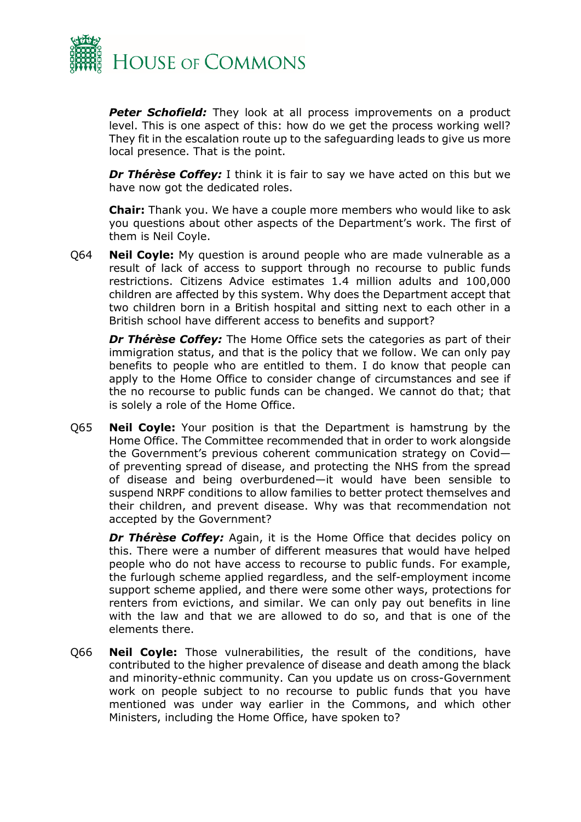

**Peter Schofield:** They look at all process improvements on a product level. This is one aspect of this: how do we get the process working well? They fit in the escalation route up to the safeguarding leads to give us more local presence. That is the point.

*Dr Thérèse Coffey:* I think it is fair to say we have acted on this but we have now got the dedicated roles.

**Chair:** Thank you. We have a couple more members who would like to ask you questions about other aspects of the Department's work. The first of them is Neil Coyle.

Q64 **Neil Coyle:** My question is around people who are made vulnerable as a result of lack of access to support through no recourse to public funds restrictions. Citizens Advice estimates 1.4 million adults and 100,000 children are affected by this system. Why does the Department accept that two children born in a British hospital and sitting next to each other in a British school have different access to benefits and support?

*Dr Thérèse Coffey:* The Home Office sets the categories as part of their immigration status, and that is the policy that we follow. We can only pay benefits to people who are entitled to them. I do know that people can apply to the Home Office to consider change of circumstances and see if the no recourse to public funds can be changed. We cannot do that; that is solely a role of the Home Office.

Q65 **Neil Coyle:** Your position is that the Department is hamstrung by the Home Office. The Committee recommended that in order to work alongside the Government's previous coherent communication strategy on Covid of preventing spread of disease, and protecting the NHS from the spread of disease and being overburdened—it would have been sensible to suspend NRPF conditions to allow families to better protect themselves and their children, and prevent disease. Why was that recommendation not accepted by the Government?

*Dr Thérèse Coffey:* Again, it is the Home Office that decides policy on this. There were a number of different measures that would have helped people who do not have access to recourse to public funds. For example, the furlough scheme applied regardless, and the self-employment income support scheme applied, and there were some other ways, protections for renters from evictions, and similar. We can only pay out benefits in line with the law and that we are allowed to do so, and that is one of the elements there.

Q66 **Neil Coyle:** Those vulnerabilities, the result of the conditions, have contributed to the higher prevalence of disease and death among the black and minority-ethnic community. Can you update us on cross-Government work on people subject to no recourse to public funds that you have mentioned was under way earlier in the Commons, and which other Ministers, including the Home Office, have spoken to?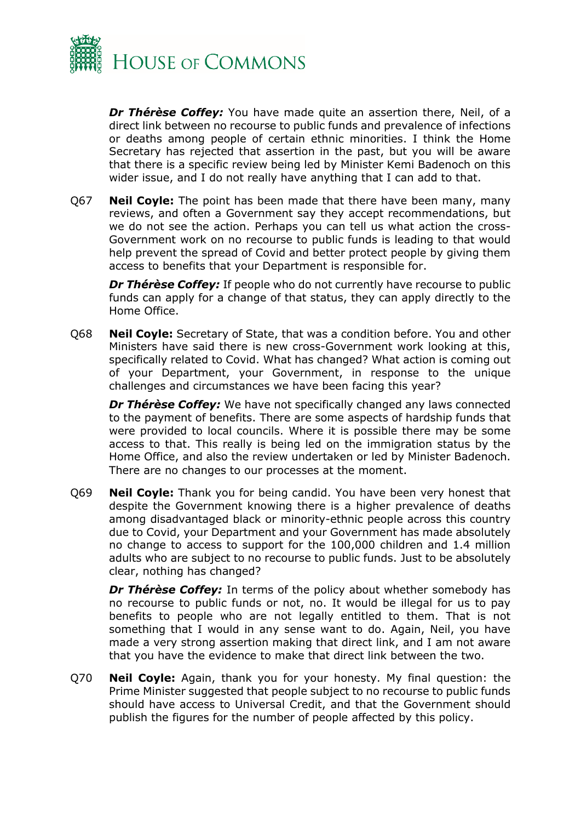

*Dr Thérèse Coffey:* You have made quite an assertion there, Neil, of a direct link between no recourse to public funds and prevalence of infections or deaths among people of certain ethnic minorities. I think the Home Secretary has rejected that assertion in the past, but you will be aware that there is a specific review being led by Minister Kemi Badenoch on this wider issue, and I do not really have anything that I can add to that.

Q67 **Neil Coyle:** The point has been made that there have been many, many reviews, and often a Government say they accept recommendations, but we do not see the action. Perhaps you can tell us what action the cross-Government work on no recourse to public funds is leading to that would help prevent the spread of Covid and better protect people by giving them access to benefits that your Department is responsible for.

*Dr Thérèse Coffey:* If people who do not currently have recourse to public funds can apply for a change of that status, they can apply directly to the Home Office.

Q68 **Neil Coyle:** Secretary of State, that was a condition before. You and other Ministers have said there is new cross-Government work looking at this, specifically related to Covid. What has changed? What action is coming out of your Department, your Government, in response to the unique challenges and circumstances we have been facing this year?

*Dr Thérèse Coffey:* We have not specifically changed any laws connected to the payment of benefits. There are some aspects of hardship funds that were provided to local councils. Where it is possible there may be some access to that. This really is being led on the immigration status by the Home Office, and also the review undertaken or led by Minister Badenoch. There are no changes to our processes at the moment.

Q69 **Neil Coyle:** Thank you for being candid. You have been very honest that despite the Government knowing there is a higher prevalence of deaths among disadvantaged black or minority-ethnic people across this country due to Covid, your Department and your Government has made absolutely no change to access to support for the 100,000 children and 1.4 million adults who are subject to no recourse to public funds. Just to be absolutely clear, nothing has changed?

*Dr Thérèse Coffey:* In terms of the policy about whether somebody has no recourse to public funds or not, no. It would be illegal for us to pay benefits to people who are not legally entitled to them. That is not something that I would in any sense want to do. Again, Neil, you have made a very strong assertion making that direct link, and I am not aware that you have the evidence to make that direct link between the two.

Q70 **Neil Coyle:** Again, thank you for your honesty. My final question: the Prime Minister suggested that people subject to no recourse to public funds should have access to Universal Credit, and that the Government should publish the figures for the number of people affected by this policy.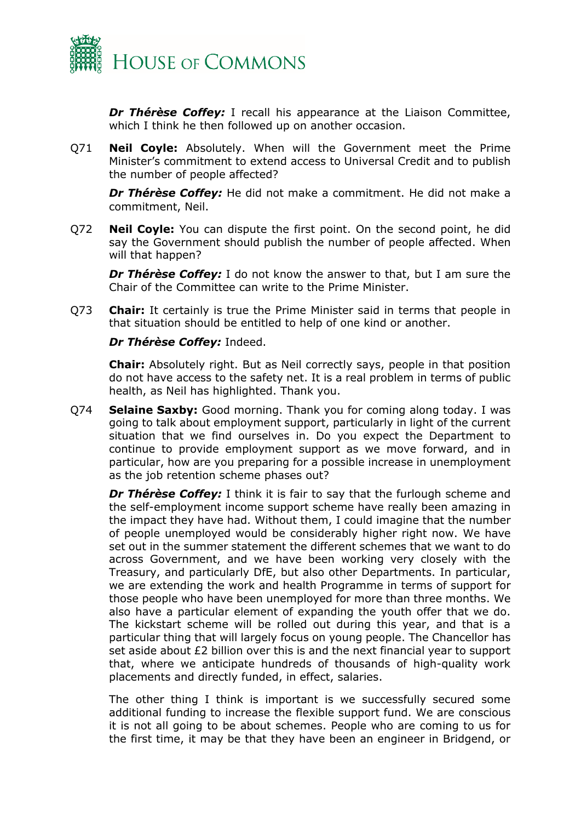

*Dr Thérèse Coffey:* I recall his appearance at the Liaison Committee, which I think he then followed up on another occasion.

Q71 **Neil Coyle:** Absolutely. When will the Government meet the Prime Minister's commitment to extend access to Universal Credit and to publish the number of people affected?

*Dr Thérèse Coffey:* He did not make a commitment. He did not make a commitment, Neil.

Q72 **Neil Coyle:** You can dispute the first point. On the second point, he did say the Government should publish the number of people affected. When will that happen?

*Dr Thérèse Coffey:* I do not know the answer to that, but I am sure the Chair of the Committee can write to the Prime Minister.

Q73 **Chair:** It certainly is true the Prime Minister said in terms that people in that situation should be entitled to help of one kind or another.

#### *Dr Thérèse Coffey:* Indeed.

**Chair:** Absolutely right. But as Neil correctly says, people in that position do not have access to the safety net. It is a real problem in terms of public health, as Neil has highlighted. Thank you.

Q74 **Selaine Saxby:** Good morning. Thank you for coming along today. I was going to talk about employment support, particularly in light of the current situation that we find ourselves in. Do you expect the Department to continue to provide employment support as we move forward, and in particular, how are you preparing for a possible increase in unemployment as the job retention scheme phases out?

*Dr Thérèse Coffey:* I think it is fair to say that the furlough scheme and the self-employment income support scheme have really been amazing in the impact they have had. Without them, I could imagine that the number of people unemployed would be considerably higher right now. We have set out in the summer statement the different schemes that we want to do across Government, and we have been working very closely with the Treasury, and particularly DfE, but also other Departments. In particular, we are extending the work and health Programme in terms of support for those people who have been unemployed for more than three months. We also have a particular element of expanding the youth offer that we do. The kickstart scheme will be rolled out during this year, and that is a particular thing that will largely focus on young people. The Chancellor has set aside about £2 billion over this is and the next financial year to support that, where we anticipate hundreds of thousands of high-quality work placements and directly funded, in effect, salaries.

The other thing I think is important is we successfully secured some additional funding to increase the flexible support fund. We are conscious it is not all going to be about schemes. People who are coming to us for the first time, it may be that they have been an engineer in Bridgend, or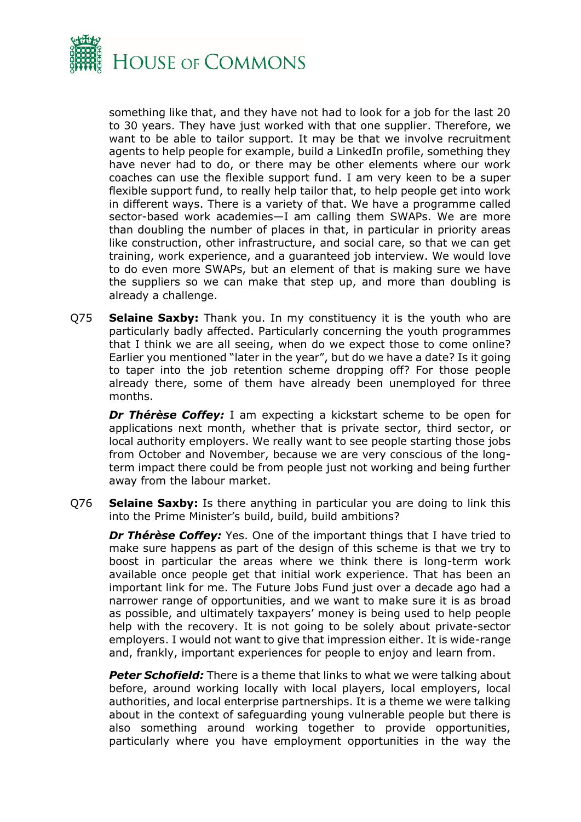

something like that, and they have not had to look for a job for the last 20 to 30 years. They have just worked with that one supplier. Therefore, we want to be able to tailor support. It may be that we involve recruitment agents to help people for example, build a LinkedIn profile, something they have never had to do, or there may be other elements where our work coaches can use the flexible support fund. I am very keen to be a super flexible support fund, to really help tailor that, to help people get into work in different ways. There is a variety of that. We have a programme called sector-based work academies—I am calling them SWAPs. We are more than doubling the number of places in that, in particular in priority areas like construction, other infrastructure, and social care, so that we can get training, work experience, and a guaranteed job interview. We would love to do even more SWAPs, but an element of that is making sure we have the suppliers so we can make that step up, and more than doubling is already a challenge.

Q75 **Selaine Saxby:** Thank you. In my constituency it is the youth who are particularly badly affected. Particularly concerning the youth programmes that I think we are all seeing, when do we expect those to come online? Earlier you mentioned "later in the year", but do we have a date? Is it going to taper into the job retention scheme dropping off? For those people already there, some of them have already been unemployed for three months.

*Dr Thérèse Coffey:* I am expecting a kickstart scheme to be open for applications next month, whether that is private sector, third sector, or local authority employers. We really want to see people starting those jobs from October and November, because we are very conscious of the longterm impact there could be from people just not working and being further away from the labour market.

Q76 **Selaine Saxby:** Is there anything in particular you are doing to link this into the Prime Minister's build, build, build ambitions?

**Dr Thérèse Coffey:** Yes. One of the important things that I have tried to make sure happens as part of the design of this scheme is that we try to boost in particular the areas where we think there is long-term work available once people get that initial work experience. That has been an important link for me. The Future Jobs Fund just over a decade ago had a narrower range of opportunities, and we want to make sure it is as broad as possible, and ultimately taxpayers' money is being used to help people help with the recovery. It is not going to be solely about private-sector employers. I would not want to give that impression either. It is wide-range and, frankly, important experiences for people to enjoy and learn from.

**Peter Schofield:** There is a theme that links to what we were talking about before, around working locally with local players, local employers, local authorities, and local enterprise partnerships. It is a theme we were talking about in the context of safeguarding young vulnerable people but there is also something around working together to provide opportunities, particularly where you have employment opportunities in the way the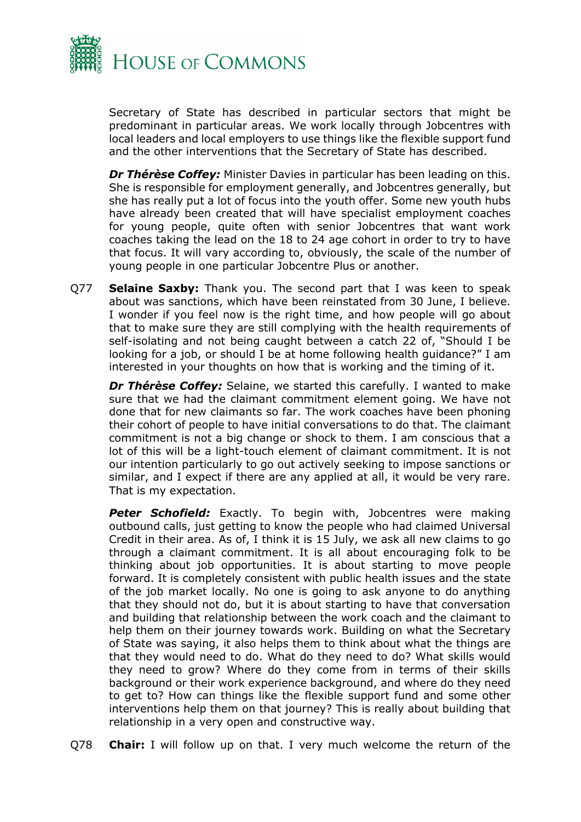

Secretary of State has described in particular sectors that might be predominant in particular areas. We work locally through Jobcentres with local leaders and local employers to use things like the flexible support fund and the other interventions that the Secretary of State has described.

*Dr Thérèse Coffey:* Minister Davies in particular has been leading on this. She is responsible for employment generally, and Jobcentres generally, but she has really put a lot of focus into the youth offer. Some new youth hubs have already been created that will have specialist employment coaches for young people, quite often with senior Jobcentres that want work coaches taking the lead on the 18 to 24 age cohort in order to try to have that focus. It will vary according to, obviously, the scale of the number of young people in one particular Jobcentre Plus or another.

Q77 **Selaine Saxby:** Thank you. The second part that I was keen to speak about was sanctions, which have been reinstated from 30 June, I believe. I wonder if you feel now is the right time, and how people will go about that to make sure they are still complying with the health requirements of self-isolating and not being caught between a catch 22 of, "Should I be looking for a job, or should I be at home following health guidance?" I am interested in your thoughts on how that is working and the timing of it.

*Dr Thérèse Coffey:* Selaine, we started this carefully. I wanted to make sure that we had the claimant commitment element going. We have not done that for new claimants so far. The work coaches have been phoning their cohort of people to have initial conversations to do that. The claimant commitment is not a big change or shock to them. I am conscious that a lot of this will be a light-touch element of claimant commitment. It is not our intention particularly to go out actively seeking to impose sanctions or similar, and I expect if there are any applied at all, it would be very rare. That is my expectation.

**Peter Schofield:** Exactly. To begin with, Jobcentres were making outbound calls, just getting to know the people who had claimed Universal Credit in their area. As of, I think it is 15 July, we ask all new claims to go through a claimant commitment. It is all about encouraging folk to be thinking about job opportunities. It is about starting to move people forward. It is completely consistent with public health issues and the state of the job market locally. No one is going to ask anyone to do anything that they should not do, but it is about starting to have that conversation and building that relationship between the work coach and the claimant to help them on their journey towards work. Building on what the Secretary of State was saying, it also helps them to think about what the things are that they would need to do. What do they need to do? What skills would they need to grow? Where do they come from in terms of their skills background or their work experience background, and where do they need to get to? How can things like the flexible support fund and some other interventions help them on that journey? This is really about building that relationship in a very open and constructive way.

Q78 **Chair:** I will follow up on that. I very much welcome the return of the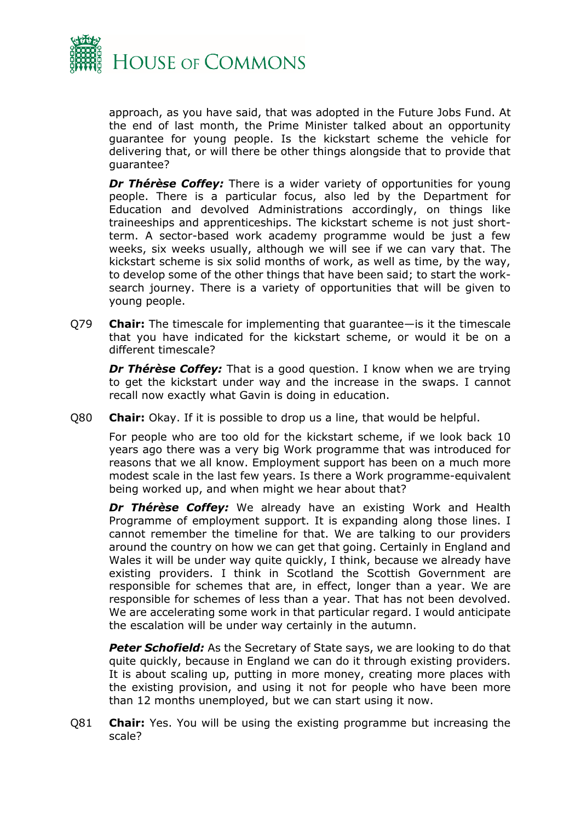

approach, as you have said, that was adopted in the Future Jobs Fund. At the end of last month, the Prime Minister talked about an opportunity guarantee for young people. Is the kickstart scheme the vehicle for delivering that, or will there be other things alongside that to provide that guarantee?

*Dr Thérèse Coffey:* There is a wider variety of opportunities for young people. There is a particular focus, also led by the Department for Education and devolved Administrations accordingly, on things like traineeships and apprenticeships. The kickstart scheme is not just shortterm. A sector-based work academy programme would be just a few weeks, six weeks usually, although we will see if we can vary that. The kickstart scheme is six solid months of work, as well as time, by the way, to develop some of the other things that have been said; to start the worksearch journey. There is a variety of opportunities that will be given to young people.

Q79 **Chair:** The timescale for implementing that guarantee—is it the timescale that you have indicated for the kickstart scheme, or would it be on a different timescale?

*Dr Thérèse Coffey:* That is a good question. I know when we are trying to get the kickstart under way and the increase in the swaps. I cannot recall now exactly what Gavin is doing in education.

Q80 **Chair:** Okay. If it is possible to drop us a line, that would be helpful.

For people who are too old for the kickstart scheme, if we look back 10 years ago there was a very big Work programme that was introduced for reasons that we all know. Employment support has been on a much more modest scale in the last few years. Is there a Work programme-equivalent being worked up, and when might we hear about that?

*Dr Thérèse Coffey:* We already have an existing Work and Health Programme of employment support. It is expanding along those lines. I cannot remember the timeline for that. We are talking to our providers around the country on how we can get that going. Certainly in England and Wales it will be under way quite quickly, I think, because we already have existing providers. I think in Scotland the Scottish Government are responsible for schemes that are, in effect, longer than a year. We are responsible for schemes of less than a year. That has not been devolved. We are accelerating some work in that particular regard. I would anticipate the escalation will be under way certainly in the autumn.

**Peter Schofield:** As the Secretary of State says, we are looking to do that quite quickly, because in England we can do it through existing providers. It is about scaling up, putting in more money, creating more places with the existing provision, and using it not for people who have been more than 12 months unemployed, but we can start using it now.

Q81 **Chair:** Yes. You will be using the existing programme but increasing the scale?